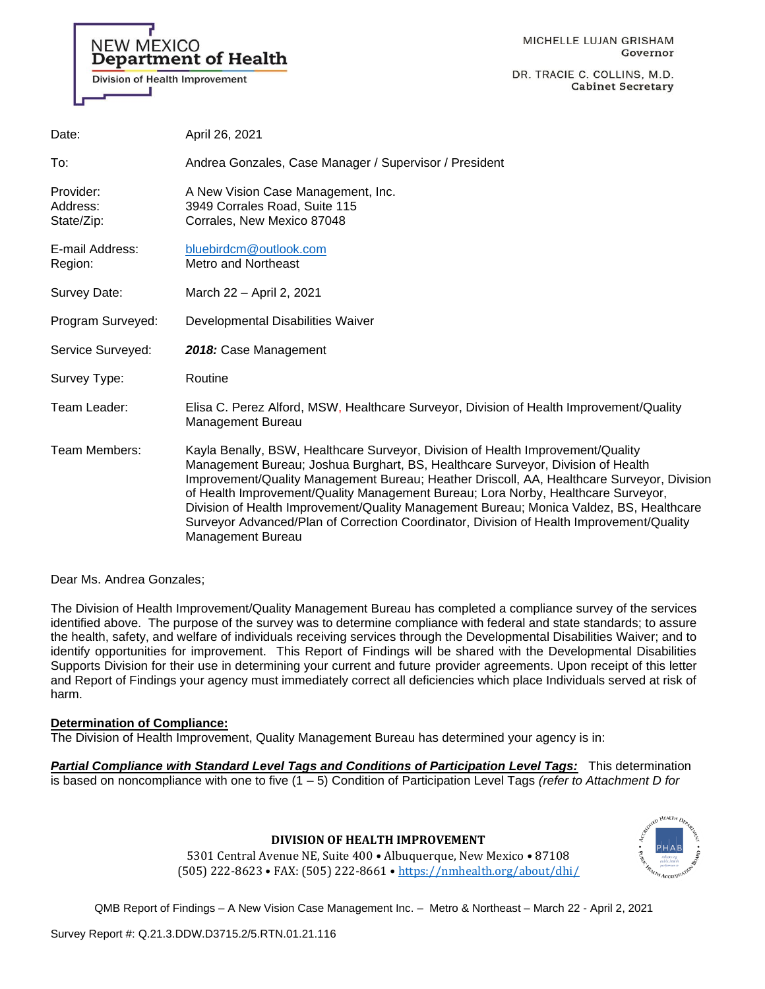

DR. TRACIE C. COLLINS, M.D. **Cabinet Secretary** 

| Date:                               | April 26, 2021                                                                                                                                                                                                                                                                                                                                                                                                                                                                                                                                                           |
|-------------------------------------|--------------------------------------------------------------------------------------------------------------------------------------------------------------------------------------------------------------------------------------------------------------------------------------------------------------------------------------------------------------------------------------------------------------------------------------------------------------------------------------------------------------------------------------------------------------------------|
| To:                                 | Andrea Gonzales, Case Manager / Supervisor / President                                                                                                                                                                                                                                                                                                                                                                                                                                                                                                                   |
| Provider:<br>Address:<br>State/Zip: | A New Vision Case Management, Inc.<br>3949 Corrales Road, Suite 115<br>Corrales, New Mexico 87048                                                                                                                                                                                                                                                                                                                                                                                                                                                                        |
| E-mail Address:<br>Region:          | bluebirdcm@outlook.com<br><b>Metro and Northeast</b>                                                                                                                                                                                                                                                                                                                                                                                                                                                                                                                     |
| Survey Date:                        | March 22 - April 2, 2021                                                                                                                                                                                                                                                                                                                                                                                                                                                                                                                                                 |
| Program Surveyed:                   | Developmental Disabilities Waiver                                                                                                                                                                                                                                                                                                                                                                                                                                                                                                                                        |
| Service Surveyed:                   | 2018: Case Management                                                                                                                                                                                                                                                                                                                                                                                                                                                                                                                                                    |
| Survey Type:                        | Routine                                                                                                                                                                                                                                                                                                                                                                                                                                                                                                                                                                  |
| Team Leader:                        | Elisa C. Perez Alford, MSW, Healthcare Surveyor, Division of Health Improvement/Quality<br><b>Management Bureau</b>                                                                                                                                                                                                                                                                                                                                                                                                                                                      |
| Team Members:                       | Kayla Benally, BSW, Healthcare Surveyor, Division of Health Improvement/Quality<br>Management Bureau; Joshua Burghart, BS, Healthcare Surveyor, Division of Health<br>Improvement/Quality Management Bureau; Heather Driscoll, AA, Healthcare Surveyor, Division<br>of Health Improvement/Quality Management Bureau; Lora Norby, Healthcare Surveyor,<br>Division of Health Improvement/Quality Management Bureau; Monica Valdez, BS, Healthcare<br>Surveyor Advanced/Plan of Correction Coordinator, Division of Health Improvement/Quality<br><b>Management Bureau</b> |

Dear Ms. Andrea Gonzales;

The Division of Health Improvement/Quality Management Bureau has completed a compliance survey of the services identified above. The purpose of the survey was to determine compliance with federal and state standards; to assure the health, safety, and welfare of individuals receiving services through the Developmental Disabilities Waiver; and to identify opportunities for improvement. This Report of Findings will be shared with the Developmental Disabilities Supports Division for their use in determining your current and future provider agreements. Upon receipt of this letter and Report of Findings your agency must immediately correct all deficiencies which place Individuals served at risk of harm.

### **Determination of Compliance:**

The Division of Health Improvement, Quality Management Bureau has determined your agency is in:

*Partial Compliance with Standard Level Tags and Conditions of Participation Level Tags:* This determination is based on noncompliance with one to five (1 – 5) Condition of Participation Level Tags *(refer to Attachment D for* 



**DIVISION OF HEALTH IMPROVEMENT**

5301 Central Avenue NE, Suite 400 • Albuquerque, New Mexico • 87108 (505) 222-8623 • FAX: (505) 222-8661 • <https://nmhealth.org/about/dhi/>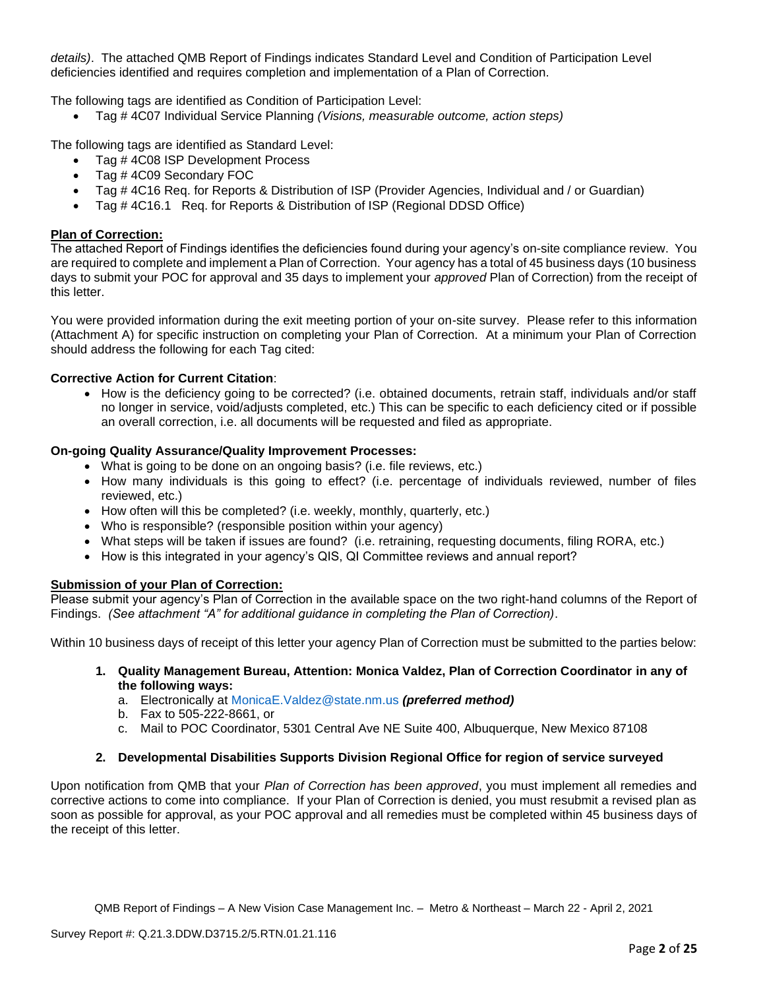*details)*. The attached QMB Report of Findings indicates Standard Level and Condition of Participation Level deficiencies identified and requires completion and implementation of a Plan of Correction.

The following tags are identified as Condition of Participation Level:

• Tag # 4C07 Individual Service Planning *(Visions, measurable outcome, action steps)* 

The following tags are identified as Standard Level:

- Tag #4C08 ISP Development Process
- Tag # 4C09 Secondary FOC
- Tag # 4C16 Req. for Reports & Distribution of ISP (Provider Agencies, Individual and / or Guardian)
- Tag # 4C16.1 Req. for Reports & Distribution of ISP (Regional DDSD Office)

# **Plan of Correction:**

The attached Report of Findings identifies the deficiencies found during your agency's on-site compliance review. You are required to complete and implement a Plan of Correction. Your agency has a total of 45 business days (10 business days to submit your POC for approval and 35 days to implement your *approved* Plan of Correction) from the receipt of this letter.

You were provided information during the exit meeting portion of your on-site survey. Please refer to this information (Attachment A) for specific instruction on completing your Plan of Correction. At a minimum your Plan of Correction should address the following for each Tag cited:

# **Corrective Action for Current Citation**:

• How is the deficiency going to be corrected? (i.e. obtained documents, retrain staff, individuals and/or staff no longer in service, void/adjusts completed, etc.) This can be specific to each deficiency cited or if possible an overall correction, i.e. all documents will be requested and filed as appropriate.

# **On-going Quality Assurance/Quality Improvement Processes:**

- What is going to be done on an ongoing basis? (i.e. file reviews, etc.)
- How many individuals is this going to effect? (i.e. percentage of individuals reviewed, number of files reviewed, etc.)
- How often will this be completed? (i.e. weekly, monthly, quarterly, etc.)
- Who is responsible? (responsible position within your agency)
- What steps will be taken if issues are found? (i.e. retraining, requesting documents, filing RORA, etc.)
- How is this integrated in your agency's QIS, QI Committee reviews and annual report?

### **Submission of your Plan of Correction:**

Please submit your agency's Plan of Correction in the available space on the two right-hand columns of the Report of Findings. *(See attachment "A" for additional guidance in completing the Plan of Correction)*.

Within 10 business days of receipt of this letter your agency Plan of Correction must be submitted to the parties below:

- **1. Quality Management Bureau, Attention: Monica Valdez, Plan of Correction Coordinator in any of the following ways:**
	- a. Electronically at [MonicaE.Valdez@state.nm.us](mailto:MonicaE.Valdez@state.nm.us) *(preferred method)*
	- b. Fax to 505-222-8661, or
	- c. Mail to POC Coordinator, 5301 Central Ave NE Suite 400, Albuquerque, New Mexico 87108

### **2. Developmental Disabilities Supports Division Regional Office for region of service surveyed**

Upon notification from QMB that your *Plan of Correction has been approved*, you must implement all remedies and corrective actions to come into compliance. If your Plan of Correction is denied, you must resubmit a revised plan as soon as possible for approval, as your POC approval and all remedies must be completed within 45 business days of the receipt of this letter.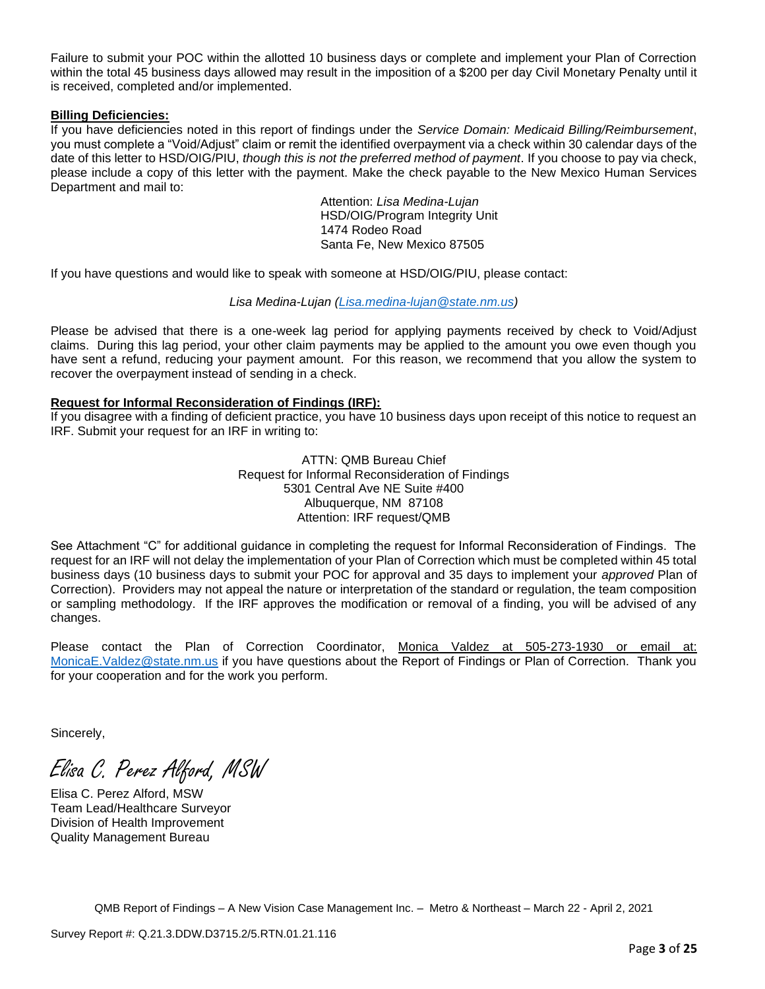Failure to submit your POC within the allotted 10 business days or complete and implement your Plan of Correction within the total 45 business days allowed may result in the imposition of a \$200 per day Civil Monetary Penalty until it is received, completed and/or implemented.

### **Billing Deficiencies:**

If you have deficiencies noted in this report of findings under the *Service Domain: Medicaid Billing/Reimbursement*, you must complete a "Void/Adjust" claim or remit the identified overpayment via a check within 30 calendar days of the date of this letter to HSD/OIG/PIU, *though this is not the preferred method of payment*. If you choose to pay via check, please include a copy of this letter with the payment. Make the check payable to the New Mexico Human Services Department and mail to:

> Attention: *Lisa Medina-Lujan* HSD/OIG/Program Integrity Unit 1474 Rodeo Road Santa Fe, New Mexico 87505

If you have questions and would like to speak with someone at HSD/OIG/PIU, please contact:

# *Lisa Medina-Lujan [\(Lisa.medina-lujan@state.nm.us\)](mailto:Lisa.medina-lujan@state.nm.us)*

Please be advised that there is a one-week lag period for applying payments received by check to Void/Adjust claims. During this lag period, your other claim payments may be applied to the amount you owe even though you have sent a refund, reducing your payment amount. For this reason, we recommend that you allow the system to recover the overpayment instead of sending in a check.

# **Request for Informal Reconsideration of Findings (IRF):**

If you disagree with a finding of deficient practice, you have 10 business days upon receipt of this notice to request an IRF. Submit your request for an IRF in writing to:

> ATTN: QMB Bureau Chief Request for Informal Reconsideration of Findings 5301 Central Ave NE Suite #400 Albuquerque, NM 87108 Attention: IRF request/QMB

See Attachment "C" for additional guidance in completing the request for Informal Reconsideration of Findings. The request for an IRF will not delay the implementation of your Plan of Correction which must be completed within 45 total business days (10 business days to submit your POC for approval and 35 days to implement your *approved* Plan of Correction). Providers may not appeal the nature or interpretation of the standard or regulation, the team composition or sampling methodology. If the IRF approves the modification or removal of a finding, you will be advised of any changes.

Please contact the Plan of Correction Coordinator, Monica Valdez at 505-273-1930 or email at: [MonicaE.Valdez@state.nm.us](mailto:MonicaE.Valdez@state.nm.us) if you have questions about the Report of Findings or Plan of Correction. Thank you for your cooperation and for the work you perform.

Sincerely,

Elisa C. Perez Alford, MSW

Elisa C. Perez Alford, MSW Team Lead/Healthcare Surveyor Division of Health Improvement Quality Management Bureau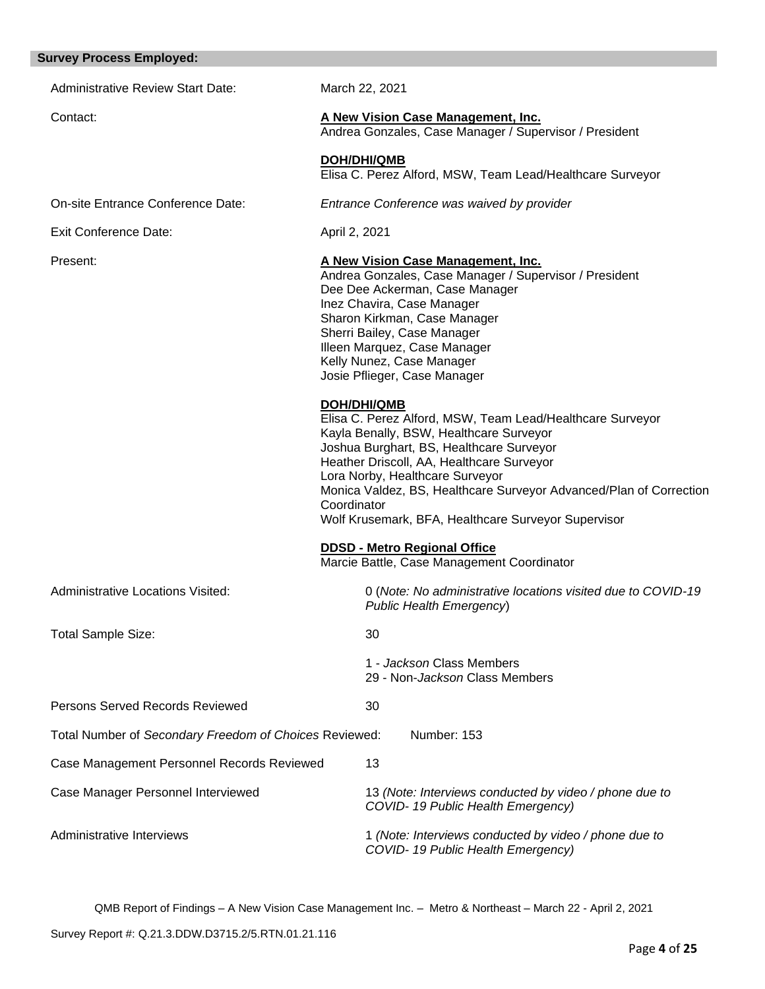| <b>Survey Process Employed:</b>                        |                                                                                                                                                                                                                                                                                                                                                                                                    |
|--------------------------------------------------------|----------------------------------------------------------------------------------------------------------------------------------------------------------------------------------------------------------------------------------------------------------------------------------------------------------------------------------------------------------------------------------------------------|
| <b>Administrative Review Start Date:</b>               | March 22, 2021                                                                                                                                                                                                                                                                                                                                                                                     |
| Contact:                                               | A New Vision Case Management, Inc.<br>Andrea Gonzales, Case Manager / Supervisor / President                                                                                                                                                                                                                                                                                                       |
|                                                        | <b>DOH/DHI/QMB</b><br>Elisa C. Perez Alford, MSW, Team Lead/Healthcare Surveyor                                                                                                                                                                                                                                                                                                                    |
| On-site Entrance Conference Date:                      | Entrance Conference was waived by provider                                                                                                                                                                                                                                                                                                                                                         |
| <b>Exit Conference Date:</b>                           | April 2, 2021                                                                                                                                                                                                                                                                                                                                                                                      |
| Present:                                               | A New Vision Case Management, Inc.<br>Andrea Gonzales, Case Manager / Supervisor / President<br>Dee Dee Ackerman, Case Manager<br>Inez Chavira, Case Manager<br>Sharon Kirkman, Case Manager<br>Sherri Bailey, Case Manager<br>Illeen Marquez, Case Manager<br>Kelly Nunez, Case Manager<br>Josie Pflieger, Case Manager                                                                           |
|                                                        | <b>DOH/DHI/QMB</b><br>Elisa C. Perez Alford, MSW, Team Lead/Healthcare Surveyor<br>Kayla Benally, BSW, Healthcare Surveyor<br>Joshua Burghart, BS, Healthcare Surveyor<br>Heather Driscoll, AA, Healthcare Surveyor<br>Lora Norby, Healthcare Surveyor<br>Monica Valdez, BS, Healthcare Surveyor Advanced/Plan of Correction<br>Coordinator<br>Wolf Krusemark, BFA, Healthcare Surveyor Supervisor |
|                                                        | <b>DDSD - Metro Regional Office</b><br>Marcie Battle, Case Management Coordinator                                                                                                                                                                                                                                                                                                                  |
| <b>Administrative Locations Visited:</b>               | 0 (Note: No administrative locations visited due to COVID-19<br>Public Health Emergency)                                                                                                                                                                                                                                                                                                           |
| <b>Total Sample Size:</b>                              | 30                                                                                                                                                                                                                                                                                                                                                                                                 |
|                                                        | 1 - Jackson Class Members<br>29 - Non-Jackson Class Members                                                                                                                                                                                                                                                                                                                                        |
| Persons Served Records Reviewed                        | 30                                                                                                                                                                                                                                                                                                                                                                                                 |
| Total Number of Secondary Freedom of Choices Reviewed: | Number: 153                                                                                                                                                                                                                                                                                                                                                                                        |
| Case Management Personnel Records Reviewed             | 13                                                                                                                                                                                                                                                                                                                                                                                                 |
| Case Manager Personnel Interviewed                     | 13 (Note: Interviews conducted by video / phone due to<br>COVID-19 Public Health Emergency)                                                                                                                                                                                                                                                                                                        |
| Administrative Interviews                              | 1 (Note: Interviews conducted by video / phone due to<br>COVID-19 Public Health Emergency)                                                                                                                                                                                                                                                                                                         |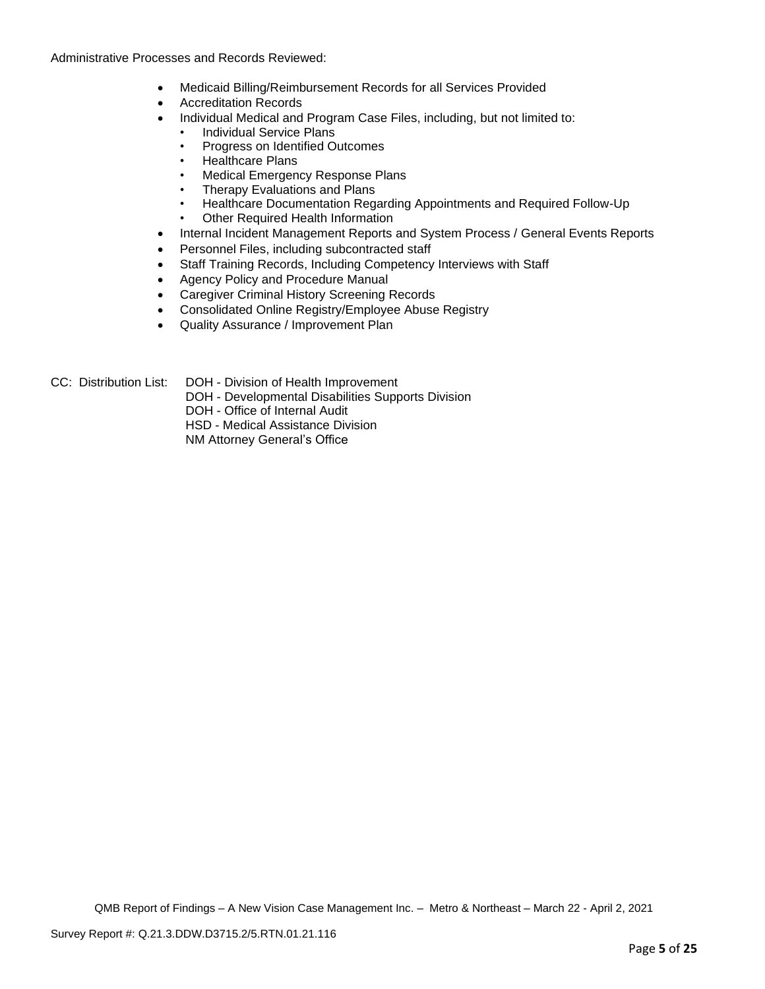Administrative Processes and Records Reviewed:

- Medicaid Billing/Reimbursement Records for all Services Provided
- Accreditation Records
- Individual Medical and Program Case Files, including, but not limited to:
	- Individual Service Plans
	- Progress on Identified Outcomes
	- Healthcare Plans
	- Medical Emergency Response Plans
	- Therapy Evaluations and Plans
	- Healthcare Documentation Regarding Appointments and Required Follow-Up
	- Other Required Health Information
- Internal Incident Management Reports and System Process / General Events Reports
- Personnel Files, including subcontracted staff
- Staff Training Records, Including Competency Interviews with Staff
- Agency Policy and Procedure Manual
- Caregiver Criminal History Screening Records
- Consolidated Online Registry/Employee Abuse Registry
- Quality Assurance / Improvement Plan

CC: Distribution List: DOH - Division of Health Improvement

- DOH Developmental Disabilities Supports Division
	- DOH Office of Internal Audit

HSD - Medical Assistance Division

NM Attorney General's Office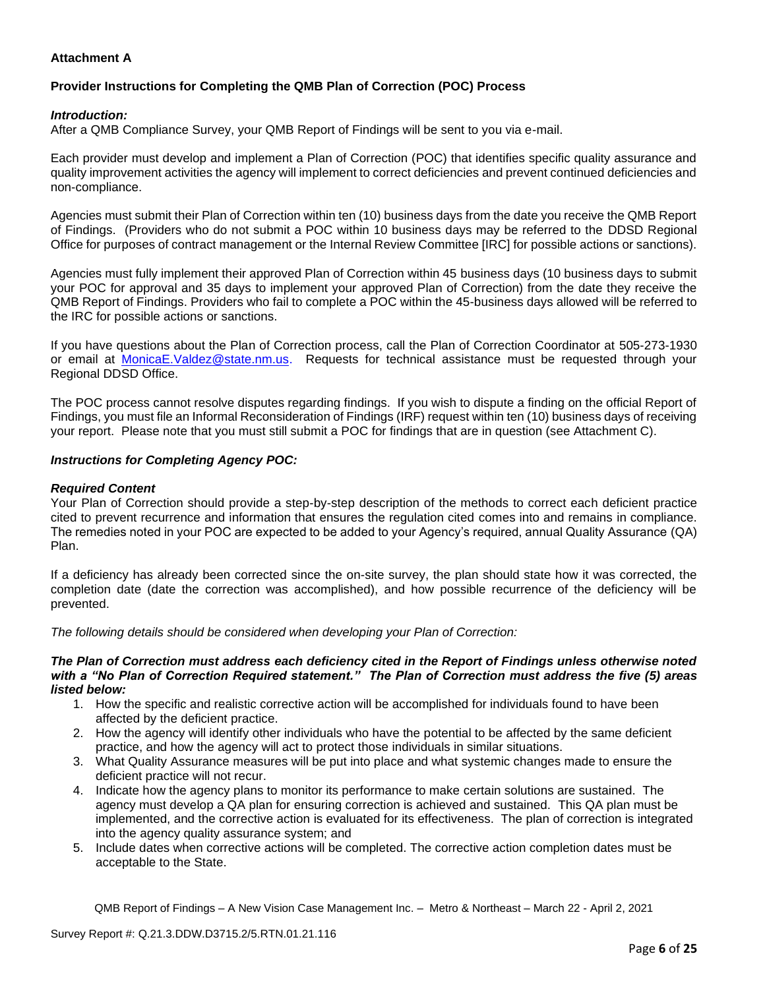# **Attachment A**

# **Provider Instructions for Completing the QMB Plan of Correction (POC) Process**

## *Introduction:*

After a QMB Compliance Survey, your QMB Report of Findings will be sent to you via e-mail.

Each provider must develop and implement a Plan of Correction (POC) that identifies specific quality assurance and quality improvement activities the agency will implement to correct deficiencies and prevent continued deficiencies and non-compliance.

Agencies must submit their Plan of Correction within ten (10) business days from the date you receive the QMB Report of Findings. (Providers who do not submit a POC within 10 business days may be referred to the DDSD Regional Office for purposes of contract management or the Internal Review Committee [IRC] for possible actions or sanctions).

Agencies must fully implement their approved Plan of Correction within 45 business days (10 business days to submit your POC for approval and 35 days to implement your approved Plan of Correction) from the date they receive the QMB Report of Findings. Providers who fail to complete a POC within the 45-business days allowed will be referred to the IRC for possible actions or sanctions.

If you have questions about the Plan of Correction process, call the Plan of Correction Coordinator at 505-273-1930 or email at [MonicaE.Valdez@state.nm.us.](mailto:MonicaE.Valdez@state.nm.us) Requests for technical assistance must be requested through your Regional DDSD Office.

The POC process cannot resolve disputes regarding findings. If you wish to dispute a finding on the official Report of Findings, you must file an Informal Reconsideration of Findings (IRF) request within ten (10) business days of receiving your report. Please note that you must still submit a POC for findings that are in question (see Attachment C).

### *Instructions for Completing Agency POC:*

## *Required Content*

Your Plan of Correction should provide a step-by-step description of the methods to correct each deficient practice cited to prevent recurrence and information that ensures the regulation cited comes into and remains in compliance. The remedies noted in your POC are expected to be added to your Agency's required, annual Quality Assurance (QA) Plan.

If a deficiency has already been corrected since the on-site survey, the plan should state how it was corrected, the completion date (date the correction was accomplished), and how possible recurrence of the deficiency will be prevented.

*The following details should be considered when developing your Plan of Correction:*

#### *The Plan of Correction must address each deficiency cited in the Report of Findings unless otherwise noted with a "No Plan of Correction Required statement." The Plan of Correction must address the five (5) areas listed below:*

- 1. How the specific and realistic corrective action will be accomplished for individuals found to have been affected by the deficient practice.
- 2. How the agency will identify other individuals who have the potential to be affected by the same deficient practice, and how the agency will act to protect those individuals in similar situations.
- 3. What Quality Assurance measures will be put into place and what systemic changes made to ensure the deficient practice will not recur.
- 4. Indicate how the agency plans to monitor its performance to make certain solutions are sustained. The agency must develop a QA plan for ensuring correction is achieved and sustained. This QA plan must be implemented, and the corrective action is evaluated for its effectiveness. The plan of correction is integrated into the agency quality assurance system; and
- 5. Include dates when corrective actions will be completed. The corrective action completion dates must be acceptable to the State.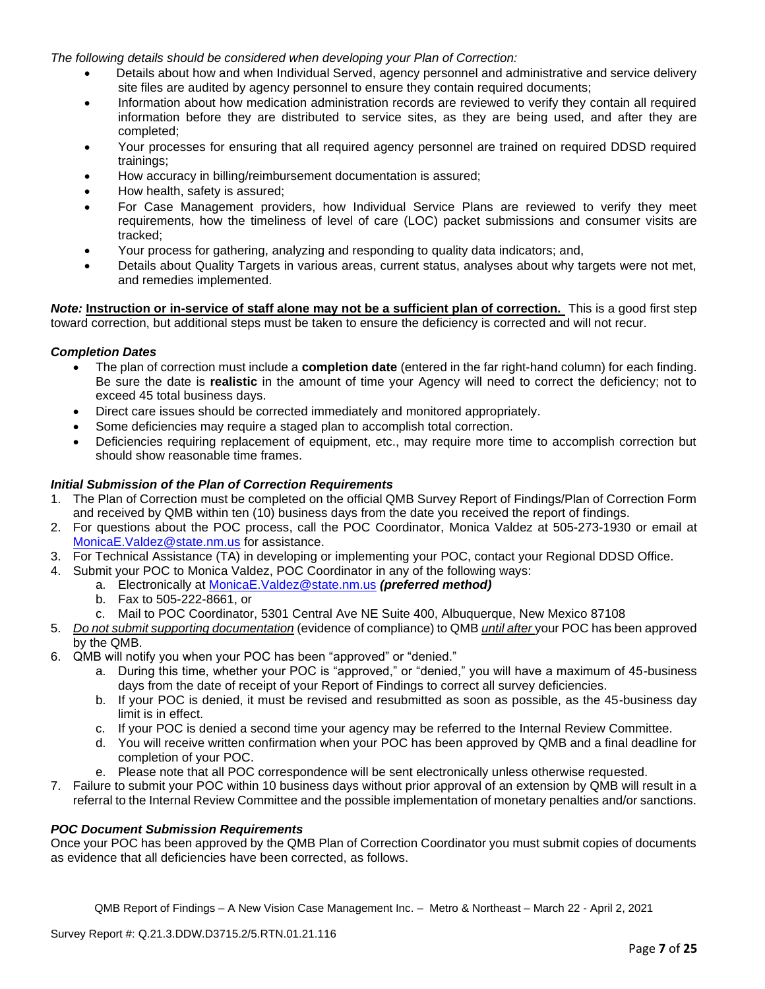*The following details should be considered when developing your Plan of Correction:*

- Details about how and when Individual Served, agency personnel and administrative and service delivery site files are audited by agency personnel to ensure they contain required documents;
- Information about how medication administration records are reviewed to verify they contain all required information before they are distributed to service sites, as they are being used, and after they are completed;
- Your processes for ensuring that all required agency personnel are trained on required DDSD required trainings;
- How accuracy in billing/reimbursement documentation is assured;
- How health, safety is assured;
- For Case Management providers, how Individual Service Plans are reviewed to verify they meet requirements, how the timeliness of level of care (LOC) packet submissions and consumer visits are tracked;
- Your process for gathering, analyzing and responding to quality data indicators; and,
- Details about Quality Targets in various areas, current status, analyses about why targets were not met, and remedies implemented.

*Note:* **Instruction or in-service of staff alone may not be a sufficient plan of correction.** This is a good first step toward correction, but additional steps must be taken to ensure the deficiency is corrected and will not recur.

### *Completion Dates*

- The plan of correction must include a **completion date** (entered in the far right-hand column) for each finding. Be sure the date is **realistic** in the amount of time your Agency will need to correct the deficiency; not to exceed 45 total business days.
- Direct care issues should be corrected immediately and monitored appropriately.
- Some deficiencies may require a staged plan to accomplish total correction.
- Deficiencies requiring replacement of equipment, etc., may require more time to accomplish correction but should show reasonable time frames.

# *Initial Submission of the Plan of Correction Requirements*

- 1. The Plan of Correction must be completed on the official QMB Survey Report of Findings/Plan of Correction Form and received by QMB within ten (10) business days from the date you received the report of findings.
- 2. For questions about the POC process, call the POC Coordinator, Monica Valdez at 505-273-1930 or email at [MonicaE.Valdez@state.nm.us](mailto:MonicaE.Valdez@state.nm.us) for assistance.
- 3. For Technical Assistance (TA) in developing or implementing your POC, contact your Regional DDSD Office.
- 4. Submit your POC to Monica Valdez, POC Coordinator in any of the following ways:
	- a. Electronically at [MonicaE.Valdez@state.nm.us](mailto:MonicaE.Valdez@state.nm.us) *(preferred method)*
	- b. Fax to 505-222-8661, or
	- c. Mail to POC Coordinator, 5301 Central Ave NE Suite 400, Albuquerque, New Mexico 87108
- 5. *Do not submit supporting documentation* (evidence of compliance) to QMB *until after* your POC has been approved by the QMB.
- 6. QMB will notify you when your POC has been "approved" or "denied."
	- a. During this time, whether your POC is "approved," or "denied," you will have a maximum of 45-business days from the date of receipt of your Report of Findings to correct all survey deficiencies.
	- b. If your POC is denied, it must be revised and resubmitted as soon as possible, as the 45-business day limit is in effect.
	- c. If your POC is denied a second time your agency may be referred to the Internal Review Committee.
	- d. You will receive written confirmation when your POC has been approved by QMB and a final deadline for completion of your POC.
	- e. Please note that all POC correspondence will be sent electronically unless otherwise requested.
- 7. Failure to submit your POC within 10 business days without prior approval of an extension by QMB will result in a referral to the Internal Review Committee and the possible implementation of monetary penalties and/or sanctions.

### *POC Document Submission Requirements*

Once your POC has been approved by the QMB Plan of Correction Coordinator you must submit copies of documents as evidence that all deficiencies have been corrected, as follows.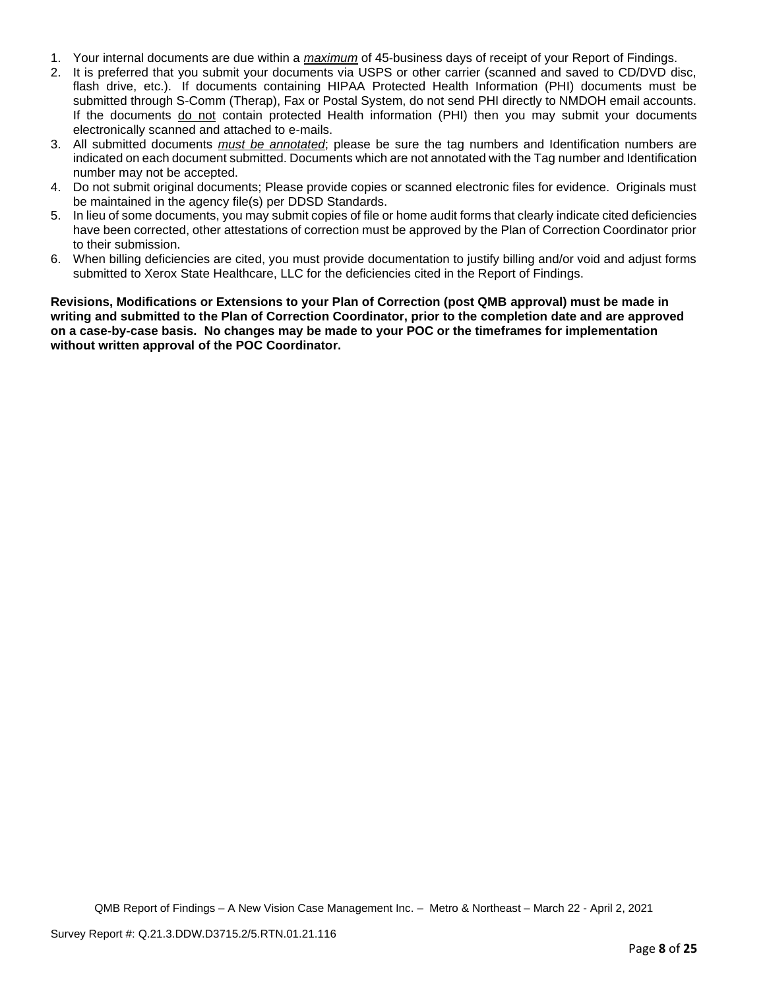- 1. Your internal documents are due within a *maximum* of 45-business days of receipt of your Report of Findings.
- 2. It is preferred that you submit your documents via USPS or other carrier (scanned and saved to CD/DVD disc, flash drive, etc.). If documents containing HIPAA Protected Health Information (PHI) documents must be submitted through S-Comm (Therap), Fax or Postal System, do not send PHI directly to NMDOH email accounts. If the documents do not contain protected Health information (PHI) then you may submit your documents electronically scanned and attached to e-mails.
- 3. All submitted documents *must be annotated*; please be sure the tag numbers and Identification numbers are indicated on each document submitted. Documents which are not annotated with the Tag number and Identification number may not be accepted.
- 4. Do not submit original documents; Please provide copies or scanned electronic files for evidence. Originals must be maintained in the agency file(s) per DDSD Standards.
- 5. In lieu of some documents, you may submit copies of file or home audit forms that clearly indicate cited deficiencies have been corrected, other attestations of correction must be approved by the Plan of Correction Coordinator prior to their submission.
- 6. When billing deficiencies are cited, you must provide documentation to justify billing and/or void and adjust forms submitted to Xerox State Healthcare, LLC for the deficiencies cited in the Report of Findings.

**Revisions, Modifications or Extensions to your Plan of Correction (post QMB approval) must be made in writing and submitted to the Plan of Correction Coordinator, prior to the completion date and are approved on a case-by-case basis. No changes may be made to your POC or the timeframes for implementation without written approval of the POC Coordinator.**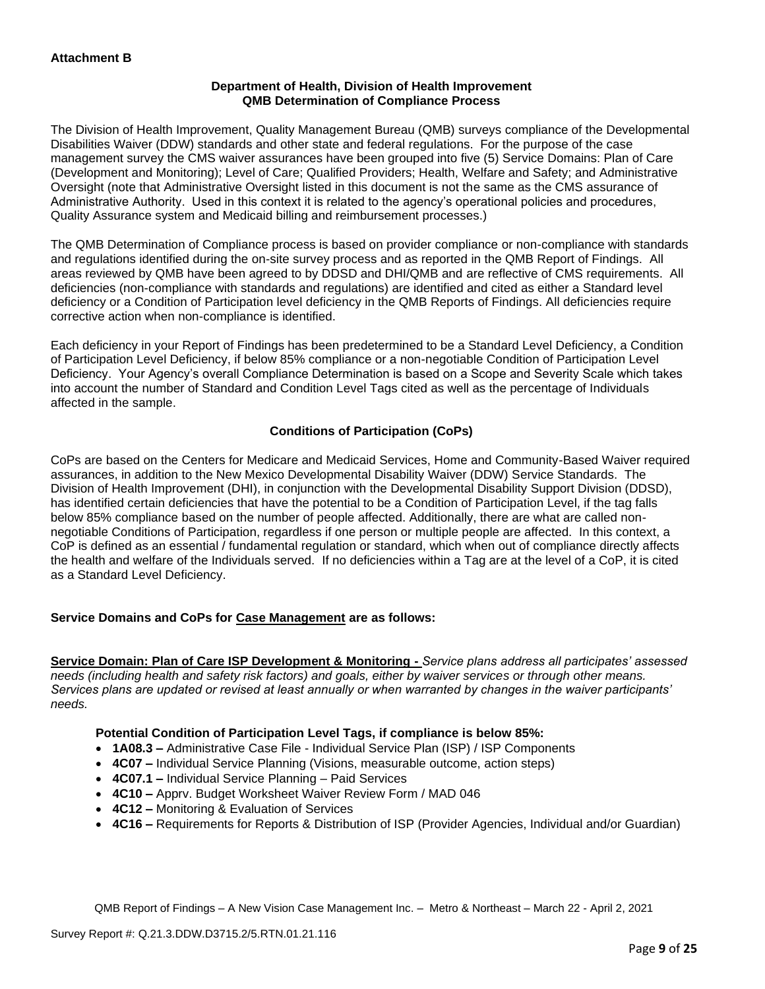# **Department of Health, Division of Health Improvement QMB Determination of Compliance Process**

The Division of Health Improvement, Quality Management Bureau (QMB) surveys compliance of the Developmental Disabilities Waiver (DDW) standards and other state and federal regulations. For the purpose of the case management survey the CMS waiver assurances have been grouped into five (5) Service Domains: Plan of Care (Development and Monitoring); Level of Care; Qualified Providers; Health, Welfare and Safety; and Administrative Oversight (note that Administrative Oversight listed in this document is not the same as the CMS assurance of Administrative Authority. Used in this context it is related to the agency's operational policies and procedures, Quality Assurance system and Medicaid billing and reimbursement processes.)

The QMB Determination of Compliance process is based on provider compliance or non-compliance with standards and regulations identified during the on-site survey process and as reported in the QMB Report of Findings. All areas reviewed by QMB have been agreed to by DDSD and DHI/QMB and are reflective of CMS requirements. All deficiencies (non-compliance with standards and regulations) are identified and cited as either a Standard level deficiency or a Condition of Participation level deficiency in the QMB Reports of Findings. All deficiencies require corrective action when non-compliance is identified.

Each deficiency in your Report of Findings has been predetermined to be a Standard Level Deficiency, a Condition of Participation Level Deficiency, if below 85% compliance or a non-negotiable Condition of Participation Level Deficiency. Your Agency's overall Compliance Determination is based on a Scope and Severity Scale which takes into account the number of Standard and Condition Level Tags cited as well as the percentage of Individuals affected in the sample.

# **Conditions of Participation (CoPs)**

CoPs are based on the Centers for Medicare and Medicaid Services, Home and Community-Based Waiver required assurances, in addition to the New Mexico Developmental Disability Waiver (DDW) Service Standards. The Division of Health Improvement (DHI), in conjunction with the Developmental Disability Support Division (DDSD), has identified certain deficiencies that have the potential to be a Condition of Participation Level, if the tag falls below 85% compliance based on the number of people affected. Additionally, there are what are called nonnegotiable Conditions of Participation, regardless if one person or multiple people are affected. In this context, a CoP is defined as an essential / fundamental regulation or standard, which when out of compliance directly affects the health and welfare of the Individuals served. If no deficiencies within a Tag are at the level of a CoP, it is cited as a Standard Level Deficiency.

# **Service Domains and CoPs for Case Management are as follows:**

**Service Domain: Plan of Care ISP Development & Monitoring -** *Service plans address all participates' assessed needs (including health and safety risk factors) and goals, either by waiver services or through other means. Services plans are updated or revised at least annually or when warranted by changes in the waiver participants' needs.*

# **Potential Condition of Participation Level Tags, if compliance is below 85%:**

- **1A08.3 –** Administrative Case File Individual Service Plan (ISP) / ISP Components
- **4C07 –** Individual Service Planning (Visions, measurable outcome, action steps)
- **4C07.1 –** Individual Service Planning Paid Services
- **4C10 –** Apprv. Budget Worksheet Waiver Review Form / MAD 046
- **4C12 –** Monitoring & Evaluation of Services
- **4C16 –** Requirements for Reports & Distribution of ISP (Provider Agencies, Individual and/or Guardian)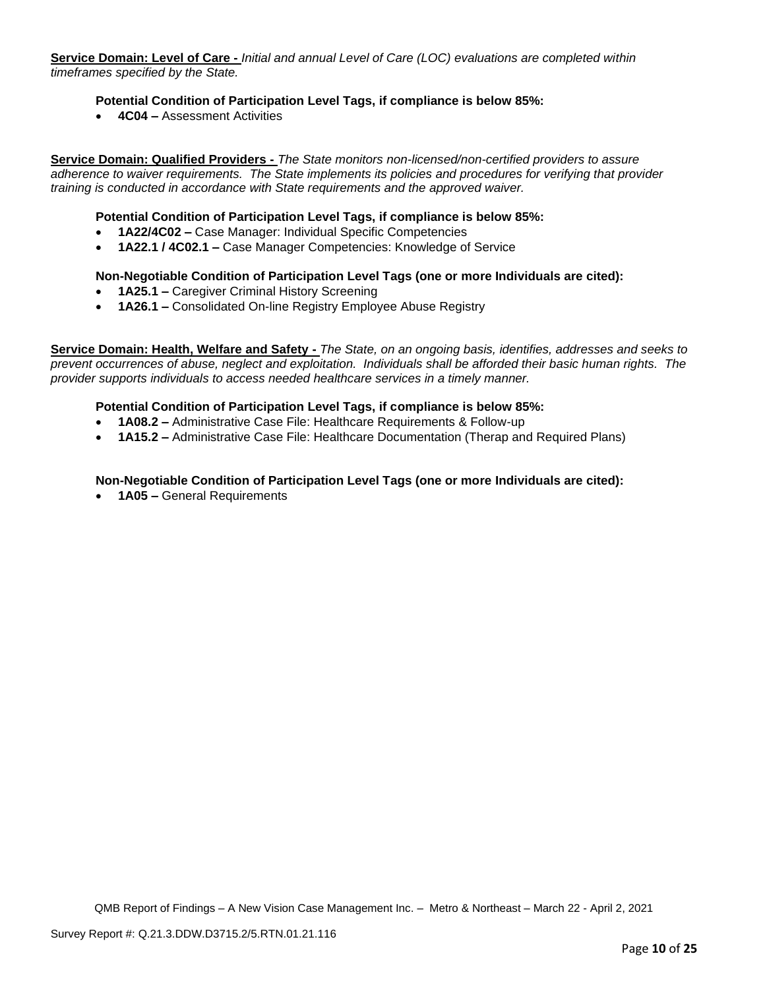**Service Domain: Level of Care -** *Initial and annual Level of Care (LOC) evaluations are completed within timeframes specified by the State.*

# **Potential Condition of Participation Level Tags, if compliance is below 85%:**

• **4C04 –** Assessment Activities

**Service Domain: Qualified Providers -** *The State monitors non-licensed/non-certified providers to assure adherence to waiver requirements. The State implements its policies and procedures for verifying that provider training is conducted in accordance with State requirements and the approved waiver.*

### **Potential Condition of Participation Level Tags, if compliance is below 85%:**

- **1A22/4C02 –** Case Manager: Individual Specific Competencies
- **1A22.1 / 4C02.1 –** Case Manager Competencies: Knowledge of Service

#### **Non-Negotiable Condition of Participation Level Tags (one or more Individuals are cited):**

- **1A25.1 –** Caregiver Criminal History Screening
- **1A26.1 –** Consolidated On-line Registry Employee Abuse Registry

**Service Domain: Health, Welfare and Safety -** *The State, on an ongoing basis, identifies, addresses and seeks to prevent occurrences of abuse, neglect and exploitation. Individuals shall be afforded their basic human rights. The provider supports individuals to access needed healthcare services in a timely manner.*

#### **Potential Condition of Participation Level Tags, if compliance is below 85%:**

- **1A08.2 –** Administrative Case File: Healthcare Requirements & Follow-up
- **1A15.2 –** Administrative Case File: Healthcare Documentation (Therap and Required Plans)

### **Non-Negotiable Condition of Participation Level Tags (one or more Individuals are cited):**

• **1A05 –** General Requirements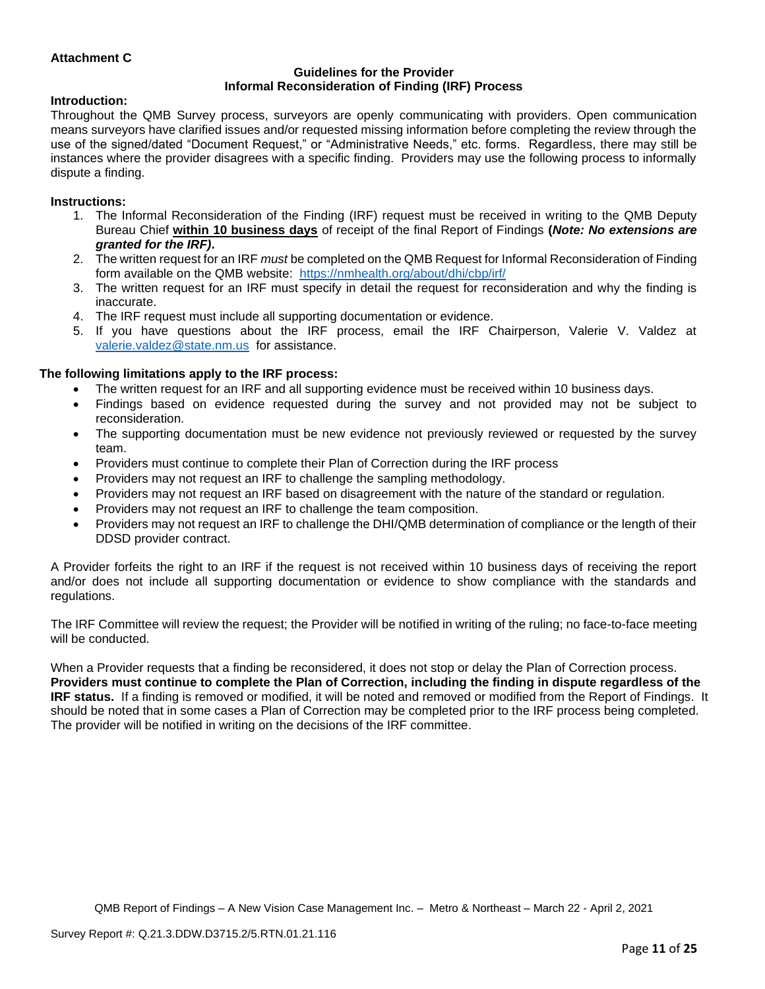# **Attachment C**

#### **Guidelines for the Provider Informal Reconsideration of Finding (IRF) Process**

#### **Introduction:**

Throughout the QMB Survey process, surveyors are openly communicating with providers. Open communication means surveyors have clarified issues and/or requested missing information before completing the review through the use of the signed/dated "Document Request," or "Administrative Needs," etc. forms. Regardless, there may still be instances where the provider disagrees with a specific finding. Providers may use the following process to informally dispute a finding.

#### **Instructions:**

- 1. The Informal Reconsideration of the Finding (IRF) request must be received in writing to the QMB Deputy Bureau Chief **within 10 business days** of receipt of the final Report of Findings **(***Note: No extensions are granted for the IRF)***.**
- 2. The written request for an IRF *must* be completed on the QMB Request for Informal Reconsideration of Finding form available on the QMB website: <https://nmhealth.org/about/dhi/cbp/irf/>
- 3. The written request for an IRF must specify in detail the request for reconsideration and why the finding is inaccurate.
- 4. The IRF request must include all supporting documentation or evidence.
- 5. If you have questions about the IRF process, email the IRF Chairperson, Valerie V. Valdez at [valerie.valdez@state.nm.us](mailto:valerie.valdez@state.nm.us) for assistance.

#### **The following limitations apply to the IRF process:**

- The written request for an IRF and all supporting evidence must be received within 10 business days.
- Findings based on evidence requested during the survey and not provided may not be subject to reconsideration.
- The supporting documentation must be new evidence not previously reviewed or requested by the survey team.
- Providers must continue to complete their Plan of Correction during the IRF process
- Providers may not request an IRF to challenge the sampling methodology.
- Providers may not request an IRF based on disagreement with the nature of the standard or regulation.
- Providers may not request an IRF to challenge the team composition.
- Providers may not request an IRF to challenge the DHI/QMB determination of compliance or the length of their DDSD provider contract.

A Provider forfeits the right to an IRF if the request is not received within 10 business days of receiving the report and/or does not include all supporting documentation or evidence to show compliance with the standards and regulations.

The IRF Committee will review the request; the Provider will be notified in writing of the ruling; no face-to-face meeting will be conducted.

When a Provider requests that a finding be reconsidered, it does not stop or delay the Plan of Correction process. **Providers must continue to complete the Plan of Correction, including the finding in dispute regardless of the IRF status.** If a finding is removed or modified, it will be noted and removed or modified from the Report of Findings. It should be noted that in some cases a Plan of Correction may be completed prior to the IRF process being completed. The provider will be notified in writing on the decisions of the IRF committee.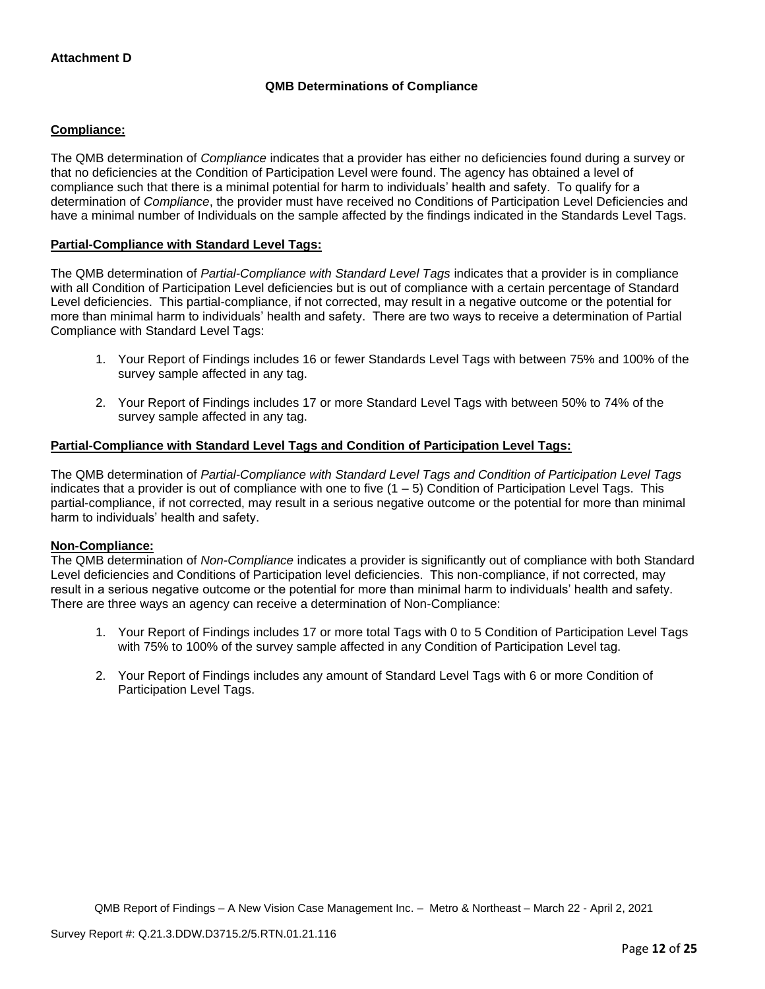# **QMB Determinations of Compliance**

# **Compliance:**

The QMB determination of *Compliance* indicates that a provider has either no deficiencies found during a survey or that no deficiencies at the Condition of Participation Level were found. The agency has obtained a level of compliance such that there is a minimal potential for harm to individuals' health and safety. To qualify for a determination of *Compliance*, the provider must have received no Conditions of Participation Level Deficiencies and have a minimal number of Individuals on the sample affected by the findings indicated in the Standards Level Tags.

# **Partial-Compliance with Standard Level Tags:**

The QMB determination of *Partial-Compliance with Standard Level Tags* indicates that a provider is in compliance with all Condition of Participation Level deficiencies but is out of compliance with a certain percentage of Standard Level deficiencies. This partial-compliance, if not corrected, may result in a negative outcome or the potential for more than minimal harm to individuals' health and safety. There are two ways to receive a determination of Partial Compliance with Standard Level Tags:

- 1. Your Report of Findings includes 16 or fewer Standards Level Tags with between 75% and 100% of the survey sample affected in any tag.
- 2. Your Report of Findings includes 17 or more Standard Level Tags with between 50% to 74% of the survey sample affected in any tag.

# **Partial-Compliance with Standard Level Tags and Condition of Participation Level Tags:**

The QMB determination of *Partial-Compliance with Standard Level Tags and Condition of Participation Level Tags*  indicates that a provider is out of compliance with one to five  $(1 - 5)$  Condition of Participation Level Tags. This partial-compliance, if not corrected, may result in a serious negative outcome or the potential for more than minimal harm to individuals' health and safety.

### **Non-Compliance:**

The QMB determination of *Non-Compliance* indicates a provider is significantly out of compliance with both Standard Level deficiencies and Conditions of Participation level deficiencies. This non-compliance, if not corrected, may result in a serious negative outcome or the potential for more than minimal harm to individuals' health and safety. There are three ways an agency can receive a determination of Non-Compliance:

- 1. Your Report of Findings includes 17 or more total Tags with 0 to 5 Condition of Participation Level Tags with 75% to 100% of the survey sample affected in any Condition of Participation Level tag.
- 2. Your Report of Findings includes any amount of Standard Level Tags with 6 or more Condition of Participation Level Tags.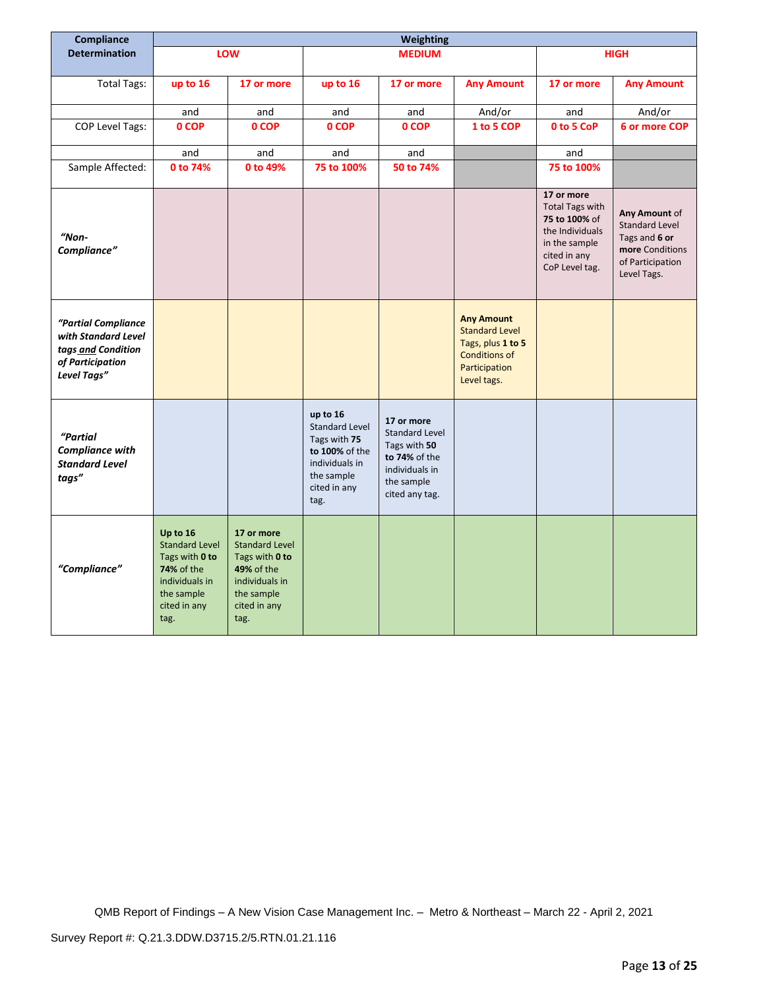| Compliance                                                                                          | Weighting                                                                                                                 |                                                                                                                                    |                                                                                                                             |                                                                                                                        |                                                                                                                         |                                                                                                                             |                                                                                                               |
|-----------------------------------------------------------------------------------------------------|---------------------------------------------------------------------------------------------------------------------------|------------------------------------------------------------------------------------------------------------------------------------|-----------------------------------------------------------------------------------------------------------------------------|------------------------------------------------------------------------------------------------------------------------|-------------------------------------------------------------------------------------------------------------------------|-----------------------------------------------------------------------------------------------------------------------------|---------------------------------------------------------------------------------------------------------------|
| <b>Determination</b>                                                                                |                                                                                                                           | LOW                                                                                                                                |                                                                                                                             | <b>MEDIUM</b>                                                                                                          |                                                                                                                         |                                                                                                                             | <b>HIGH</b>                                                                                                   |
|                                                                                                     |                                                                                                                           |                                                                                                                                    |                                                                                                                             |                                                                                                                        |                                                                                                                         |                                                                                                                             |                                                                                                               |
| <b>Total Tags:</b>                                                                                  | up to 16                                                                                                                  | 17 or more                                                                                                                         | up to 16                                                                                                                    | 17 or more                                                                                                             | <b>Any Amount</b>                                                                                                       | 17 or more                                                                                                                  | <b>Any Amount</b>                                                                                             |
|                                                                                                     | and                                                                                                                       | and                                                                                                                                | and                                                                                                                         | and                                                                                                                    | And/or                                                                                                                  | and                                                                                                                         | And/or                                                                                                        |
| <b>COP Level Tags:</b>                                                                              | 0 COP                                                                                                                     | 0 COP                                                                                                                              | 0 COP                                                                                                                       | 0 COP                                                                                                                  | 1 to 5 COP                                                                                                              | 0 to 5 CoP                                                                                                                  | 6 or more COP                                                                                                 |
|                                                                                                     | and                                                                                                                       | and                                                                                                                                | and                                                                                                                         | and                                                                                                                    |                                                                                                                         | and                                                                                                                         |                                                                                                               |
| Sample Affected:                                                                                    | 0 to 74%                                                                                                                  | 0 to 49%                                                                                                                           | 75 to 100%                                                                                                                  | 50 to 74%                                                                                                              |                                                                                                                         | 75 to 100%                                                                                                                  |                                                                                                               |
| "Non-<br>Compliance"                                                                                |                                                                                                                           |                                                                                                                                    |                                                                                                                             |                                                                                                                        |                                                                                                                         | 17 or more<br><b>Total Tags with</b><br>75 to 100% of<br>the Individuals<br>in the sample<br>cited in any<br>CoP Level tag. | Any Amount of<br><b>Standard Level</b><br>Tags and 6 or<br>more Conditions<br>of Participation<br>Level Tags. |
| "Partial Compliance<br>with Standard Level<br>tags and Condition<br>of Participation<br>Level Tags" |                                                                                                                           |                                                                                                                                    |                                                                                                                             |                                                                                                                        | <b>Any Amount</b><br><b>Standard Level</b><br>Tags, plus 1 to 5<br><b>Conditions of</b><br>Participation<br>Level tags. |                                                                                                                             |                                                                                                               |
| "Partial<br><b>Compliance with</b><br><b>Standard Level</b><br>tags"                                |                                                                                                                           |                                                                                                                                    | up to 16<br><b>Standard Level</b><br>Tags with 75<br>to 100% of the<br>individuals in<br>the sample<br>cited in any<br>tag. | 17 or more<br><b>Standard Level</b><br>Tags with 50<br>to 74% of the<br>individuals in<br>the sample<br>cited any tag. |                                                                                                                         |                                                                                                                             |                                                                                                               |
| "Compliance"                                                                                        | Up to 16<br><b>Standard Level</b><br>Tags with 0 to<br>74% of the<br>individuals in<br>the sample<br>cited in any<br>tag. | 17 or more<br><b>Standard Level</b><br>Tags with 0 to<br><b>49% of the</b><br>individuals in<br>the sample<br>cited in any<br>tag. |                                                                                                                             |                                                                                                                        |                                                                                                                         |                                                                                                                             |                                                                                                               |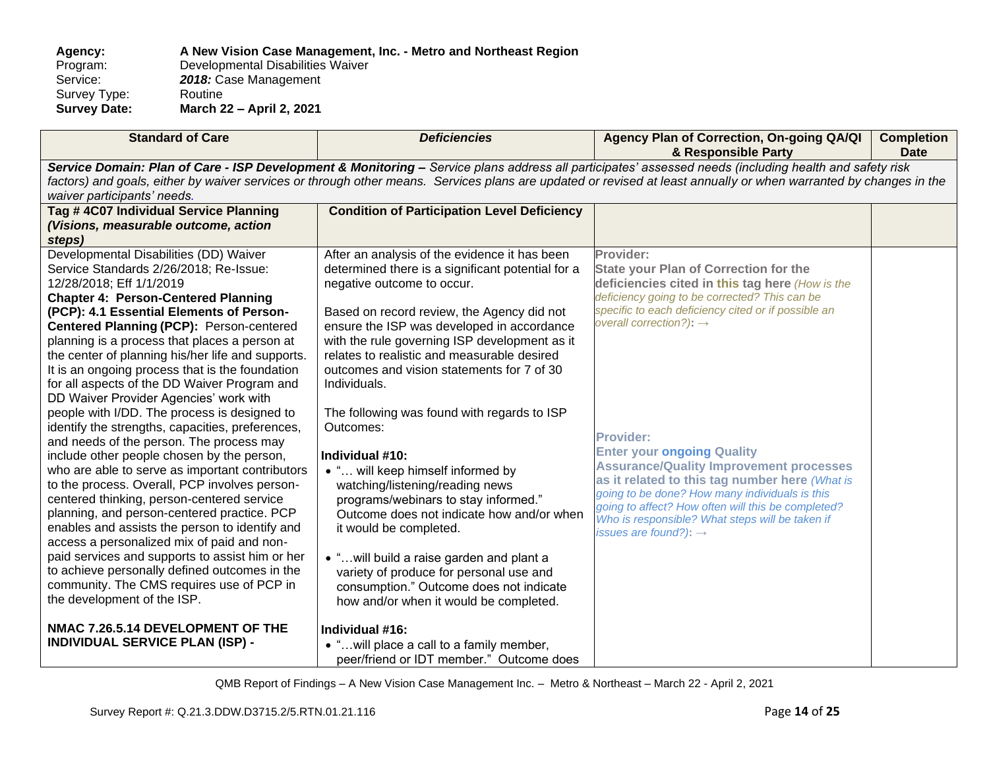**Agency: A New Vision Case Management, Inc. - Metro and Northeast Region** Program: Developmental Disabilities Waiver<br>Service: 2018: Case Management 2018: Case Management<br>Routine Survey Type:<br>Survey Date: **Survey Date: March 22 – April 2, 2021**

| <b>Standard of Care</b>                                                                                                                                                                                                                                                                                                                                                                                                                                                                                                                                                                                                                                                                                                                                                                                                                                                                                                                                                                                                                                                                                                                                                              | <b>Deficiencies</b>                                                                                                                                                                                                                                                                                                                                                                                                                                                                                                                                                                                                                                                                                                                                                                                                                           | Agency Plan of Correction, On-going QA/QI<br>& Responsible Party                                                                                                                                                                                                                                                                                                                                                                                                                                                                                                                                                         | <b>Completion</b><br><b>Date</b> |  |
|--------------------------------------------------------------------------------------------------------------------------------------------------------------------------------------------------------------------------------------------------------------------------------------------------------------------------------------------------------------------------------------------------------------------------------------------------------------------------------------------------------------------------------------------------------------------------------------------------------------------------------------------------------------------------------------------------------------------------------------------------------------------------------------------------------------------------------------------------------------------------------------------------------------------------------------------------------------------------------------------------------------------------------------------------------------------------------------------------------------------------------------------------------------------------------------|-----------------------------------------------------------------------------------------------------------------------------------------------------------------------------------------------------------------------------------------------------------------------------------------------------------------------------------------------------------------------------------------------------------------------------------------------------------------------------------------------------------------------------------------------------------------------------------------------------------------------------------------------------------------------------------------------------------------------------------------------------------------------------------------------------------------------------------------------|--------------------------------------------------------------------------------------------------------------------------------------------------------------------------------------------------------------------------------------------------------------------------------------------------------------------------------------------------------------------------------------------------------------------------------------------------------------------------------------------------------------------------------------------------------------------------------------------------------------------------|----------------------------------|--|
| Service Domain: Plan of Care - ISP Development & Monitoring - Service plans address all participates' assessed needs (including health and safety risk<br>factors) and goals, either by waiver services or through other means. Services plans are updated or revised at least annually or when warranted by changes in the<br>waiver participants' needs.                                                                                                                                                                                                                                                                                                                                                                                                                                                                                                                                                                                                                                                                                                                                                                                                                           |                                                                                                                                                                                                                                                                                                                                                                                                                                                                                                                                                                                                                                                                                                                                                                                                                                               |                                                                                                                                                                                                                                                                                                                                                                                                                                                                                                                                                                                                                          |                                  |  |
| Tag #4C07 Individual Service Planning<br>(Visions, measurable outcome, action<br>steps)                                                                                                                                                                                                                                                                                                                                                                                                                                                                                                                                                                                                                                                                                                                                                                                                                                                                                                                                                                                                                                                                                              | <b>Condition of Participation Level Deficiency</b>                                                                                                                                                                                                                                                                                                                                                                                                                                                                                                                                                                                                                                                                                                                                                                                            |                                                                                                                                                                                                                                                                                                                                                                                                                                                                                                                                                                                                                          |                                  |  |
| Developmental Disabilities (DD) Waiver<br>Service Standards 2/26/2018; Re-Issue:<br>12/28/2018; Eff 1/1/2019<br><b>Chapter 4: Person-Centered Planning</b><br>(PCP): 4.1 Essential Elements of Person-<br>Centered Planning (PCP): Person-centered<br>planning is a process that places a person at<br>the center of planning his/her life and supports.<br>It is an ongoing process that is the foundation<br>for all aspects of the DD Waiver Program and<br>DD Waiver Provider Agencies' work with<br>people with I/DD. The process is designed to<br>identify the strengths, capacities, preferences,<br>and needs of the person. The process may<br>include other people chosen by the person,<br>who are able to serve as important contributors<br>to the process. Overall, PCP involves person-<br>centered thinking, person-centered service<br>planning, and person-centered practice. PCP<br>enables and assists the person to identify and<br>access a personalized mix of paid and non-<br>paid services and supports to assist him or her<br>to achieve personally defined outcomes in the<br>community. The CMS requires use of PCP in<br>the development of the ISP. | After an analysis of the evidence it has been<br>determined there is a significant potential for a<br>negative outcome to occur.<br>Based on record review, the Agency did not<br>ensure the ISP was developed in accordance<br>with the rule governing ISP development as it<br>relates to realistic and measurable desired<br>outcomes and vision statements for 7 of 30<br>Individuals.<br>The following was found with regards to ISP<br>Outcomes:<br>Individual #10:<br>• " will keep himself informed by<br>watching/listening/reading news<br>programs/webinars to stay informed."<br>Outcome does not indicate how and/or when<br>it would be completed.<br>. " will build a raise garden and plant a<br>variety of produce for personal use and<br>consumption." Outcome does not indicate<br>how and/or when it would be completed. | Provider:<br><b>State your Plan of Correction for the</b><br>deficiencies cited in this tag here (How is the<br>deficiency going to be corrected? This can be<br>specific to each deficiency cited or if possible an<br>overall correction?): $\rightarrow$<br><b>Provider:</b><br><b>Enter your ongoing Quality</b><br><b>Assurance/Quality Improvement processes</b><br>as it related to this tag number here (What is<br>going to be done? How many individuals is this<br>going to affect? How often will this be completed?<br>Who is responsible? What steps will be taken if<br>issues are found?): $\rightarrow$ |                                  |  |
| NMAC 7.26.5.14 DEVELOPMENT OF THE<br><b>INDIVIDUAL SERVICE PLAN (ISP) -</b>                                                                                                                                                                                                                                                                                                                                                                                                                                                                                                                                                                                                                                                                                                                                                                                                                                                                                                                                                                                                                                                                                                          | Individual #16:<br>• "will place a call to a family member,<br>peer/friend or IDT member." Outcome does                                                                                                                                                                                                                                                                                                                                                                                                                                                                                                                                                                                                                                                                                                                                       |                                                                                                                                                                                                                                                                                                                                                                                                                                                                                                                                                                                                                          |                                  |  |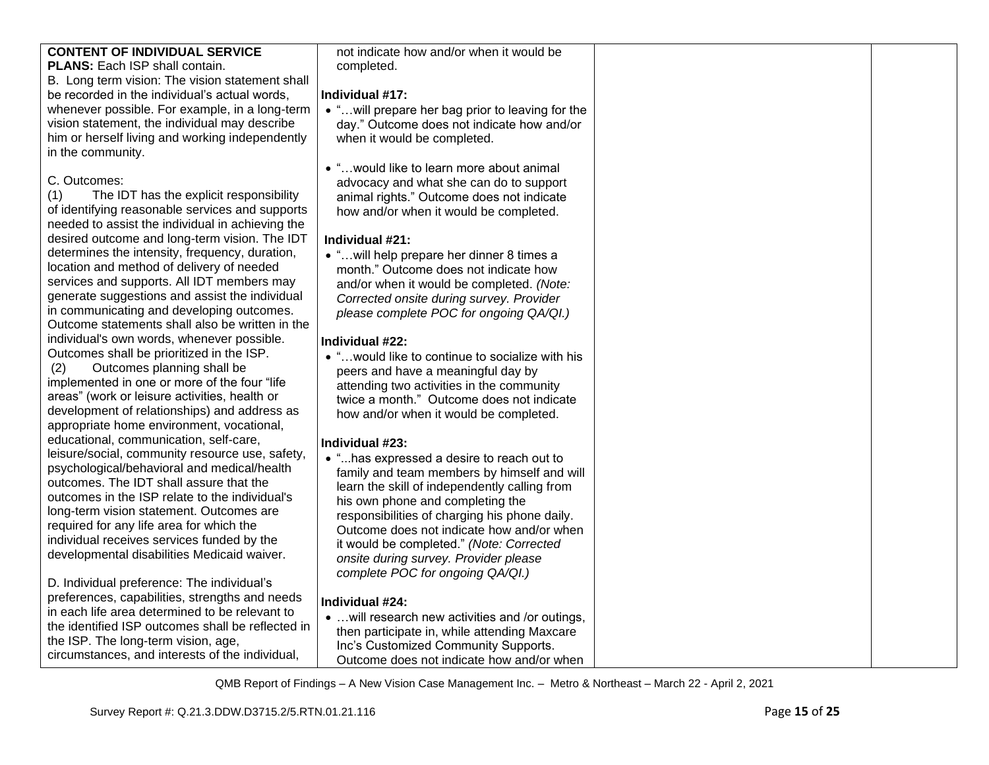# **CONTENT OF INDIVIDUAL SERVICE**

**PLANS: Each ISP shall contain.** 

B. Long term vision: The vision statement shall be recorded in the individual's actual words, whenever possible. For example, in a long-term vision statement, the individual may describe him or herself living and working independently in the community.

# C. Outcomes:

(1) The IDT has the explicit responsibility of identifying reasonable services and supports needed to assist the individual in achieving the desired outcome and long-term vision. The IDT determines the intensity, frequency, duration, location and method of delivery of needed services and supports. All IDT members may generate suggestions and assist the individual in communicating and developing outcomes. Outcome statements shall also be written in the individual's own words, whenever possible. Outcomes shall be prioritized in the ISP.

(2) Outcomes planning shall be implemented in one or more of the four "life areas" (work or leisure activities, health or development of relationships) and address as appropriate home environment, vocational, educational, communication, self-care, leisure/social, community resource use, safety, psychological/behavioral and medical/health outcomes. The IDT shall assure that the outcomes in the ISP relate to the individual's long-term vision statement. Outcomes are required for any life area for which the individual receives services funded by the developmental disabilities Medicaid waiver.

D. Individual preference: The individual's preferences, capabilities, strengths and needs in each life area determined to be relevant to the identified ISP outcomes shall be reflected in the ISP. The long-term vision, age, circumstances, and interests of the individual,

not indicate how and/or when it would be completed.

# **Individual #17:**

- "…will prepare her bag prior to leaving for the day." Outcome does not indicate how and/or when it would be completed.
- "…would like to learn more about animal advocacy and what she can do to support animal rights." Outcome does not indicate how and/or when it would be completed.

# **Individual #21:**

• "…will help prepare her dinner 8 times a month." Outcome does not indicate how and/or when it would be completed. *(Note: Corrected onsite during survey. Provider please complete POC for ongoing QA/QI.)*

# **Individual #22:**

• "…would like to continue to socialize with his peers and have a meaningful day by attending two activities in the community twice a month." Outcome does not indicate how and/or when it would be completed.

# **Individual #23:**

• "...has expressed a desire to reach out to family and team members by himself and will learn the skill of independently calling from his own phone and completing the responsibilities of charging his phone daily. Outcome does not indicate how and/or when it would be completed." *(Note: Corrected onsite during survey. Provider please complete POC for ongoing QA/QI.)*

# **Individual #24:**

• …will research new activities and /or outings, then participate in, while attending Maxcare Inc's Customized Community Supports. Outcome does not indicate how and/or when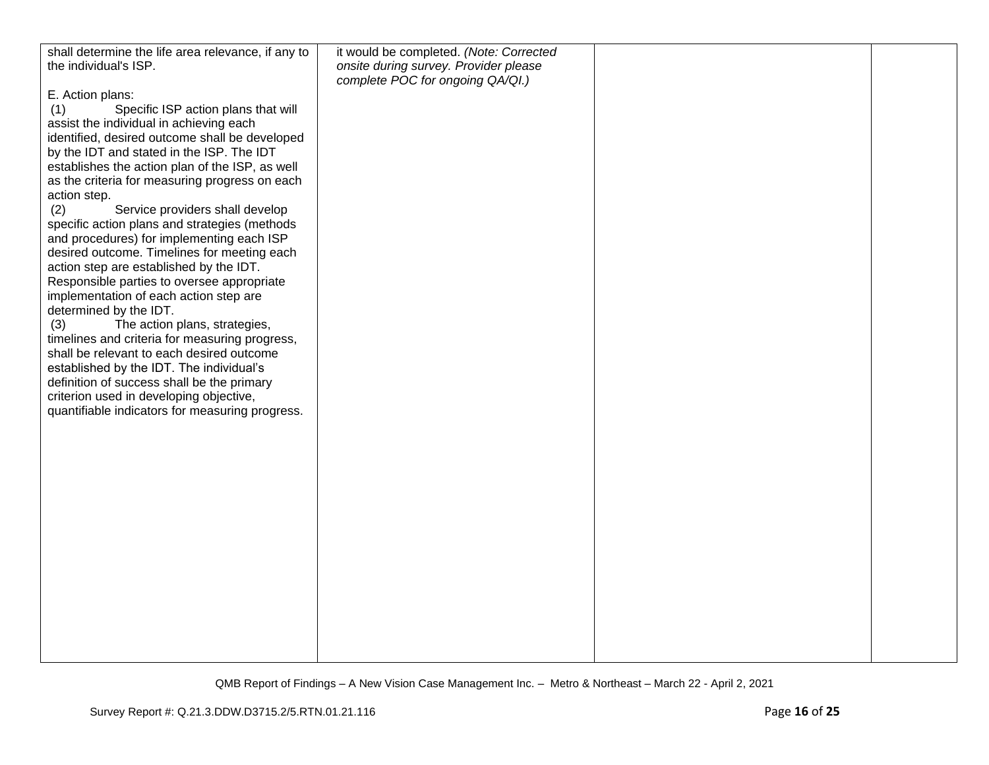| shall determine the life area relevance, if any to | it would be completed. (Note: Corrected |  |
|----------------------------------------------------|-----------------------------------------|--|
| the individual's ISP.                              | onsite during survey. Provider please   |  |
|                                                    | complete POC for ongoing QA/QI.)        |  |
| E. Action plans:                                   |                                         |  |
| Specific ISP action plans that will<br>(1)         |                                         |  |
| assist the individual in achieving each            |                                         |  |
| identified, desired outcome shall be developed     |                                         |  |
| by the IDT and stated in the ISP. The IDT          |                                         |  |
| establishes the action plan of the ISP, as well    |                                         |  |
|                                                    |                                         |  |
| as the criteria for measuring progress on each     |                                         |  |
| action step.                                       |                                         |  |
| (2)<br>Service providers shall develop             |                                         |  |
| specific action plans and strategies (methods      |                                         |  |
| and procedures) for implementing each ISP          |                                         |  |
| desired outcome. Timelines for meeting each        |                                         |  |
| action step are established by the IDT.            |                                         |  |
| Responsible parties to oversee appropriate         |                                         |  |
| implementation of each action step are             |                                         |  |
| determined by the IDT.                             |                                         |  |
| (3)<br>The action plans, strategies,               |                                         |  |
| timelines and criteria for measuring progress,     |                                         |  |
| shall be relevant to each desired outcome          |                                         |  |
| established by the IDT. The individual's           |                                         |  |
| definition of success shall be the primary         |                                         |  |
| criterion used in developing objective,            |                                         |  |
| quantifiable indicators for measuring progress.    |                                         |  |
|                                                    |                                         |  |
|                                                    |                                         |  |
|                                                    |                                         |  |
|                                                    |                                         |  |
|                                                    |                                         |  |
|                                                    |                                         |  |
|                                                    |                                         |  |
|                                                    |                                         |  |
|                                                    |                                         |  |
|                                                    |                                         |  |
|                                                    |                                         |  |
|                                                    |                                         |  |
|                                                    |                                         |  |
|                                                    |                                         |  |
|                                                    |                                         |  |
|                                                    |                                         |  |
|                                                    |                                         |  |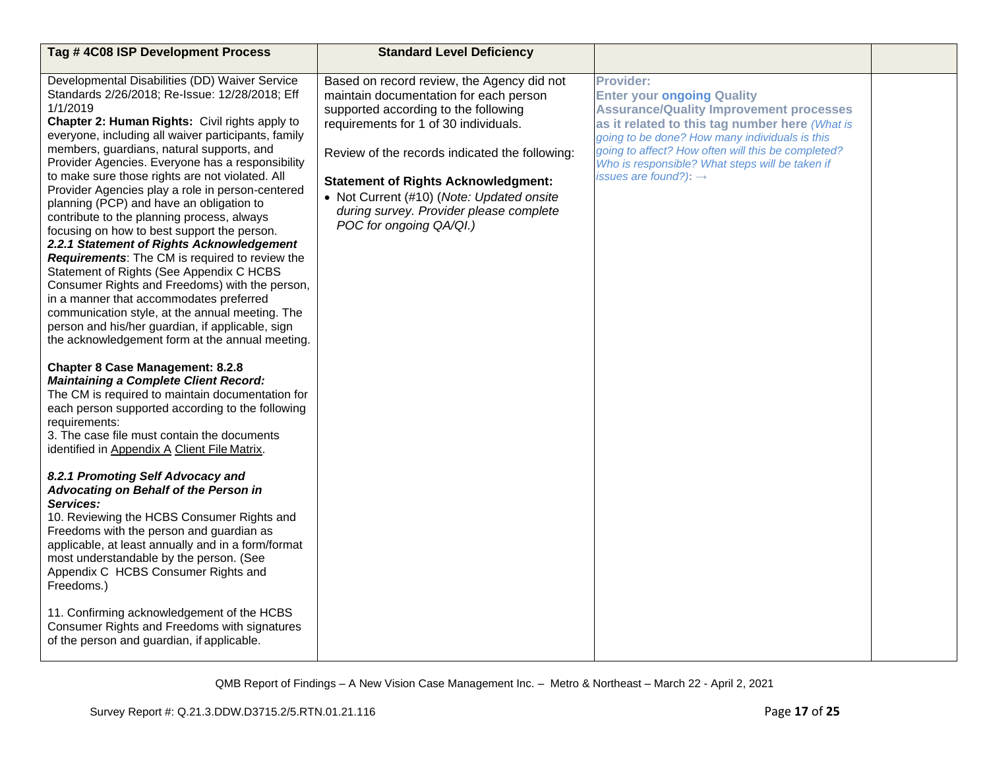| Tag #4C08 ISP Development Process                                                                                                                                                                                                                                                                                                                                                                                                                                                                                                                                                                                                                                                                                                                                                                                                                                                                                                                                                                                                                                                                                                                                                                                                                                                                                                                                                                                                                                                                                                                                                                                                                                                                                                                                                         | <b>Standard Level Deficiency</b>                                                                                                                                                                                                                                                                                                                                                         |                                                                                                                                                                                                                                                                                                                                                    |  |
|-------------------------------------------------------------------------------------------------------------------------------------------------------------------------------------------------------------------------------------------------------------------------------------------------------------------------------------------------------------------------------------------------------------------------------------------------------------------------------------------------------------------------------------------------------------------------------------------------------------------------------------------------------------------------------------------------------------------------------------------------------------------------------------------------------------------------------------------------------------------------------------------------------------------------------------------------------------------------------------------------------------------------------------------------------------------------------------------------------------------------------------------------------------------------------------------------------------------------------------------------------------------------------------------------------------------------------------------------------------------------------------------------------------------------------------------------------------------------------------------------------------------------------------------------------------------------------------------------------------------------------------------------------------------------------------------------------------------------------------------------------------------------------------------|------------------------------------------------------------------------------------------------------------------------------------------------------------------------------------------------------------------------------------------------------------------------------------------------------------------------------------------------------------------------------------------|----------------------------------------------------------------------------------------------------------------------------------------------------------------------------------------------------------------------------------------------------------------------------------------------------------------------------------------------------|--|
| Developmental Disabilities (DD) Waiver Service<br>Standards 2/26/2018; Re-Issue: 12/28/2018; Eff<br>1/1/2019<br>Chapter 2: Human Rights: Civil rights apply to<br>everyone, including all waiver participants, family<br>members, guardians, natural supports, and<br>Provider Agencies. Everyone has a responsibility<br>to make sure those rights are not violated. All<br>Provider Agencies play a role in person-centered<br>planning (PCP) and have an obligation to<br>contribute to the planning process, always<br>focusing on how to best support the person.<br>2.2.1 Statement of Rights Acknowledgement<br><b>Requirements:</b> The CM is required to review the<br>Statement of Rights (See Appendix C HCBS<br>Consumer Rights and Freedoms) with the person,<br>in a manner that accommodates preferred<br>communication style, at the annual meeting. The<br>person and his/her guardian, if applicable, sign<br>the acknowledgement form at the annual meeting.<br><b>Chapter 8 Case Management: 8.2.8</b><br><b>Maintaining a Complete Client Record:</b><br>The CM is required to maintain documentation for<br>each person supported according to the following<br>requirements:<br>3. The case file must contain the documents<br>identified in Appendix A Client File Matrix.<br>8.2.1 Promoting Self Advocacy and<br>Advocating on Behalf of the Person in<br>Services:<br>10. Reviewing the HCBS Consumer Rights and<br>Freedoms with the person and guardian as<br>applicable, at least annually and in a form/format<br>most understandable by the person. (See<br>Appendix C HCBS Consumer Rights and<br>Freedoms.)<br>11. Confirming acknowledgement of the HCBS<br>Consumer Rights and Freedoms with signatures<br>of the person and guardian, if applicable. | Based on record review, the Agency did not<br>maintain documentation for each person<br>supported according to the following<br>requirements for 1 of 30 individuals.<br>Review of the records indicated the following:<br><b>Statement of Rights Acknowledgment:</b><br>• Not Current (#10) (Note: Updated onsite<br>during survey. Provider please complete<br>POC for ongoing QA/QI.) | Provider:<br><b>Enter your ongoing Quality</b><br><b>Assurance/Quality Improvement processes</b><br>as it related to this tag number here (What is<br>going to be done? How many individuals is this<br>going to affect? How often will this be completed?<br>Who is responsible? What steps will be taken if<br>issues are found?): $\rightarrow$ |  |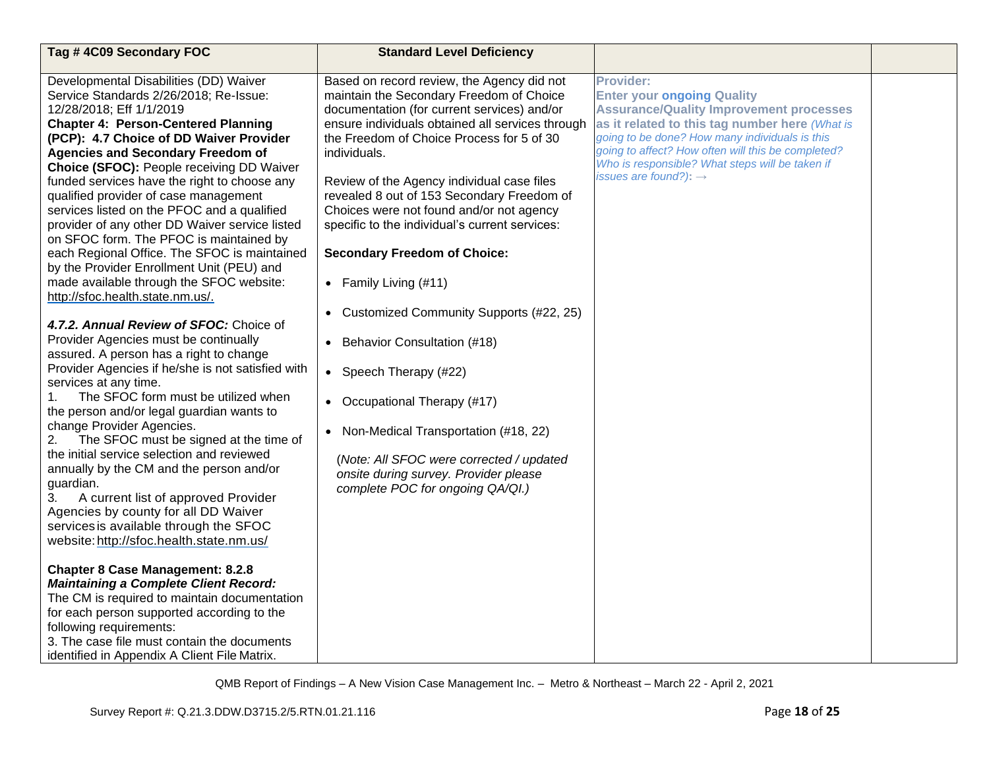| Tag #4C09 Secondary FOC                                                               | <b>Standard Level Deficiency</b>                     |                                                                                      |  |
|---------------------------------------------------------------------------------------|------------------------------------------------------|--------------------------------------------------------------------------------------|--|
| Developmental Disabilities (DD) Waiver                                                | Based on record review, the Agency did not           | <b>Provider:</b>                                                                     |  |
| Service Standards 2/26/2018; Re-Issue:                                                | maintain the Secondary Freedom of Choice             | <b>Enter your ongoing Quality</b>                                                    |  |
| 12/28/2018; Eff 1/1/2019                                                              | documentation (for current services) and/or          | <b>Assurance/Quality Improvement processes</b>                                       |  |
| <b>Chapter 4: Person-Centered Planning</b>                                            | ensure individuals obtained all services through     | as it related to this tag number here (What is                                       |  |
| (PCP): 4.7 Choice of DD Waiver Provider                                               | the Freedom of Choice Process for 5 of 30            | going to be done? How many individuals is this                                       |  |
| <b>Agencies and Secondary Freedom of</b>                                              | individuals.                                         | going to affect? How often will this be completed?                                   |  |
| Choice (SFOC): People receiving DD Waiver                                             |                                                      | Who is responsible? What steps will be taken if<br>issues are found?): $\rightarrow$ |  |
| funded services have the right to choose any                                          | Review of the Agency individual case files           |                                                                                      |  |
| qualified provider of case management                                                 | revealed 8 out of 153 Secondary Freedom of           |                                                                                      |  |
| services listed on the PFOC and a qualified                                           | Choices were not found and/or not agency             |                                                                                      |  |
| provider of any other DD Waiver service listed                                        | specific to the individual's current services:       |                                                                                      |  |
| on SFOC form. The PFOC is maintained by                                               |                                                      |                                                                                      |  |
| each Regional Office. The SFOC is maintained                                          | <b>Secondary Freedom of Choice:</b>                  |                                                                                      |  |
| by the Provider Enrollment Unit (PEU) and<br>made available through the SFOC website: |                                                      |                                                                                      |  |
| http://sfoc.health.state.nm.us/.                                                      | • Family Living $(#11)$                              |                                                                                      |  |
|                                                                                       |                                                      |                                                                                      |  |
| 4.7.2. Annual Review of SFOC: Choice of                                               | Customized Community Supports (#22, 25)<br>$\bullet$ |                                                                                      |  |
| Provider Agencies must be continually                                                 | Behavior Consultation (#18)<br>$\bullet$             |                                                                                      |  |
| assured. A person has a right to change                                               |                                                      |                                                                                      |  |
| Provider Agencies if he/she is not satisfied with                                     | • Speech Therapy (#22)                               |                                                                                      |  |
| services at any time.                                                                 |                                                      |                                                                                      |  |
| The SFOC form must be utilized when<br>1.                                             | • Occupational Therapy (#17)                         |                                                                                      |  |
| the person and/or legal guardian wants to                                             |                                                      |                                                                                      |  |
| change Provider Agencies.                                                             | Non-Medical Transportation (#18, 22)<br>$\bullet$    |                                                                                      |  |
| The SFOC must be signed at the time of<br>2.                                          |                                                      |                                                                                      |  |
| the initial service selection and reviewed                                            | (Note: All SFOC were corrected / updated             |                                                                                      |  |
| annually by the CM and the person and/or                                              | onsite during survey. Provider please                |                                                                                      |  |
| guardian.                                                                             | complete POC for ongoing QA/QI.)                     |                                                                                      |  |
| 3.<br>A current list of approved Provider                                             |                                                      |                                                                                      |  |
| Agencies by county for all DD Waiver                                                  |                                                      |                                                                                      |  |
| services is available through the SFOC                                                |                                                      |                                                                                      |  |
| website: http://sfoc.health.state.nm.us/                                              |                                                      |                                                                                      |  |
| <b>Chapter 8 Case Management: 8.2.8</b>                                               |                                                      |                                                                                      |  |
| <b>Maintaining a Complete Client Record:</b>                                          |                                                      |                                                                                      |  |
| The CM is required to maintain documentation                                          |                                                      |                                                                                      |  |
| for each person supported according to the                                            |                                                      |                                                                                      |  |
| following requirements:                                                               |                                                      |                                                                                      |  |
| 3. The case file must contain the documents                                           |                                                      |                                                                                      |  |
| identified in Appendix A Client File Matrix.                                          |                                                      |                                                                                      |  |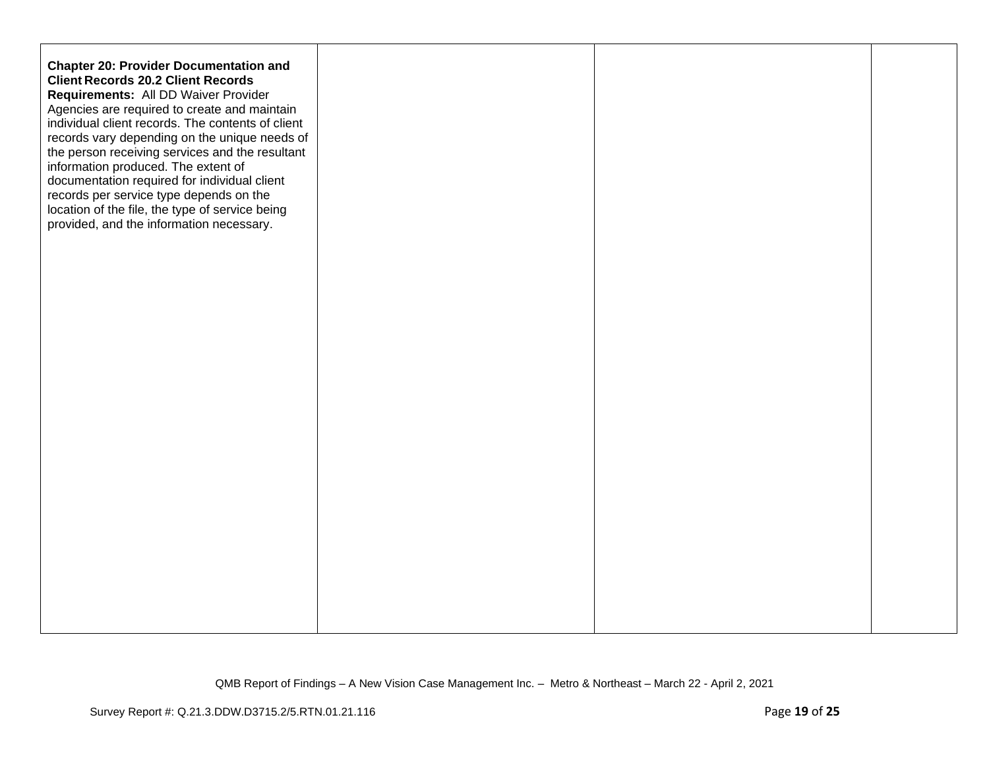| <b>Chapter 20: Provider Documentation and</b><br><b>Client Records 20.2 Client Records</b><br>Requirements: All DD Waiver Provider<br>Agencies are required to create and maintain<br>individual client records. The contents of client<br>records vary depending on the unique needs of<br>the person receiving services and the resultant<br>information produced. The extent of<br>documentation required for individual client<br>records per service type depends on the<br>location of the file, the type of service being<br>provided, and the information necessary. |  |  |
|------------------------------------------------------------------------------------------------------------------------------------------------------------------------------------------------------------------------------------------------------------------------------------------------------------------------------------------------------------------------------------------------------------------------------------------------------------------------------------------------------------------------------------------------------------------------------|--|--|
|                                                                                                                                                                                                                                                                                                                                                                                                                                                                                                                                                                              |  |  |
|                                                                                                                                                                                                                                                                                                                                                                                                                                                                                                                                                                              |  |  |
|                                                                                                                                                                                                                                                                                                                                                                                                                                                                                                                                                                              |  |  |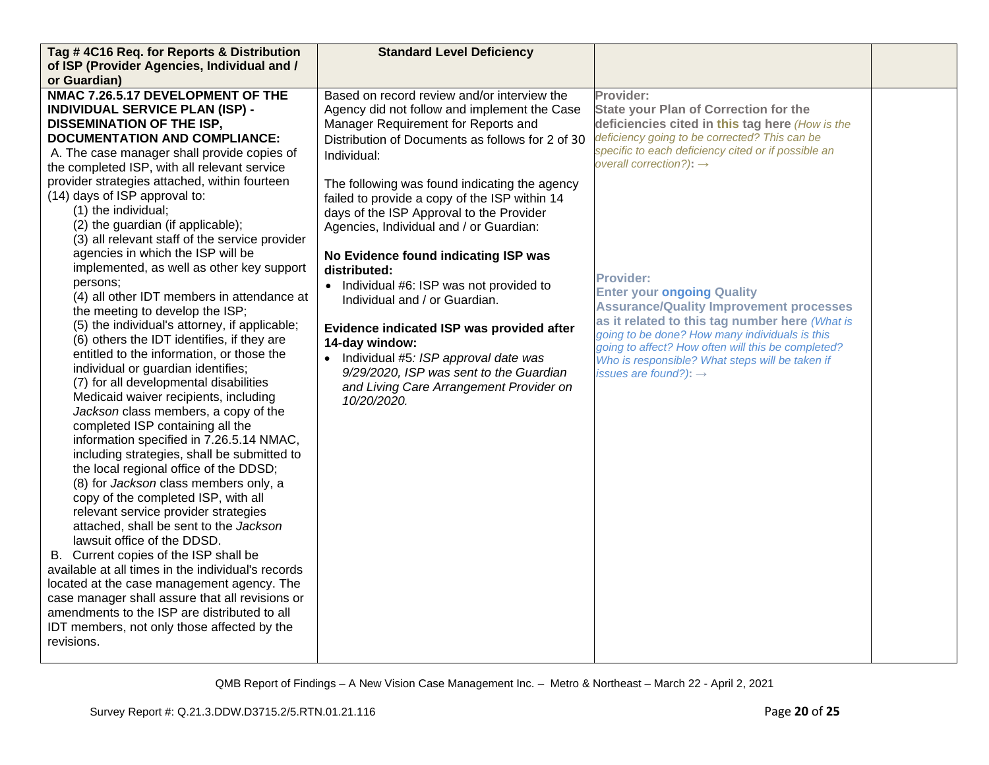| Tag #4C16 Req. for Reports & Distribution                                                       | <b>Standard Level Deficiency</b>                 |                                                                                                  |  |
|-------------------------------------------------------------------------------------------------|--------------------------------------------------|--------------------------------------------------------------------------------------------------|--|
| of ISP (Provider Agencies, Individual and /                                                     |                                                  |                                                                                                  |  |
| or Guardian)                                                                                    |                                                  |                                                                                                  |  |
| NMAC 7.26.5.17 DEVELOPMENT OF THE                                                               | Based on record review and/or interview the      | Provider:                                                                                        |  |
| <b>INDIVIDUAL SERVICE PLAN (ISP) -</b>                                                          | Agency did not follow and implement the Case     | <b>State your Plan of Correction for the</b>                                                     |  |
| <b>DISSEMINATION OF THE ISP,</b>                                                                | Manager Requirement for Reports and              | deficiencies cited in this tag here (How is the                                                  |  |
| <b>DOCUMENTATION AND COMPLIANCE:</b>                                                            | Distribution of Documents as follows for 2 of 30 | deficiency going to be corrected? This can be                                                    |  |
| A. The case manager shall provide copies of                                                     | Individual:                                      | specific to each deficiency cited or if possible an                                              |  |
| the completed ISP, with all relevant service                                                    |                                                  | overall correction?): $\rightarrow$                                                              |  |
| provider strategies attached, within fourteen                                                   | The following was found indicating the agency    |                                                                                                  |  |
| (14) days of ISP approval to:                                                                   | failed to provide a copy of the ISP within 14    |                                                                                                  |  |
| (1) the individual;                                                                             | days of the ISP Approval to the Provider         |                                                                                                  |  |
| (2) the guardian (if applicable);                                                               | Agencies, Individual and / or Guardian:          |                                                                                                  |  |
| (3) all relevant staff of the service provider                                                  |                                                  |                                                                                                  |  |
| agencies in which the ISP will be                                                               | No Evidence found indicating ISP was             |                                                                                                  |  |
| implemented, as well as other key support                                                       | distributed:                                     |                                                                                                  |  |
| persons:                                                                                        | • Individual #6: ISP was not provided to         | <b>Provider:</b>                                                                                 |  |
| (4) all other IDT members in attendance at                                                      | Individual and / or Guardian.                    | <b>Enter your ongoing Quality</b>                                                                |  |
| the meeting to develop the ISP;                                                                 |                                                  | <b>Assurance/Quality Improvement processes</b>                                                   |  |
| (5) the individual's attorney, if applicable;                                                   | Evidence indicated ISP was provided after        | as it related to this tag number here (What is<br>going to be done? How many individuals is this |  |
| (6) others the IDT identifies, if they are                                                      | 14-day window:                                   | going to affect? How often will this be completed?                                               |  |
| entitled to the information, or those the                                                       | Individual #5: ISP approval date was             | Who is responsible? What steps will be taken if                                                  |  |
| individual or guardian identifies;                                                              | 9/29/2020, ISP was sent to the Guardian          | issues are found?): $\rightarrow$                                                                |  |
| (7) for all developmental disabilities                                                          | and Living Care Arrangement Provider on          |                                                                                                  |  |
| Medicaid waiver recipients, including                                                           | 10/20/2020.                                      |                                                                                                  |  |
| Jackson class members, a copy of the                                                            |                                                  |                                                                                                  |  |
| completed ISP containing all the                                                                |                                                  |                                                                                                  |  |
| information specified in 7.26.5.14 NMAC,                                                        |                                                  |                                                                                                  |  |
| including strategies, shall be submitted to                                                     |                                                  |                                                                                                  |  |
| the local regional office of the DDSD;                                                          |                                                  |                                                                                                  |  |
| (8) for Jackson class members only, a                                                           |                                                  |                                                                                                  |  |
| copy of the completed ISP, with all                                                             |                                                  |                                                                                                  |  |
| relevant service provider strategies                                                            |                                                  |                                                                                                  |  |
| attached, shall be sent to the Jackson                                                          |                                                  |                                                                                                  |  |
| lawsuit office of the DDSD.                                                                     |                                                  |                                                                                                  |  |
| B. Current copies of the ISP shall be                                                           |                                                  |                                                                                                  |  |
| available at all times in the individual's records                                              |                                                  |                                                                                                  |  |
| located at the case management agency. The                                                      |                                                  |                                                                                                  |  |
| case manager shall assure that all revisions or<br>amendments to the ISP are distributed to all |                                                  |                                                                                                  |  |
|                                                                                                 |                                                  |                                                                                                  |  |
| IDT members, not only those affected by the<br>revisions.                                       |                                                  |                                                                                                  |  |
|                                                                                                 |                                                  |                                                                                                  |  |
|                                                                                                 |                                                  |                                                                                                  |  |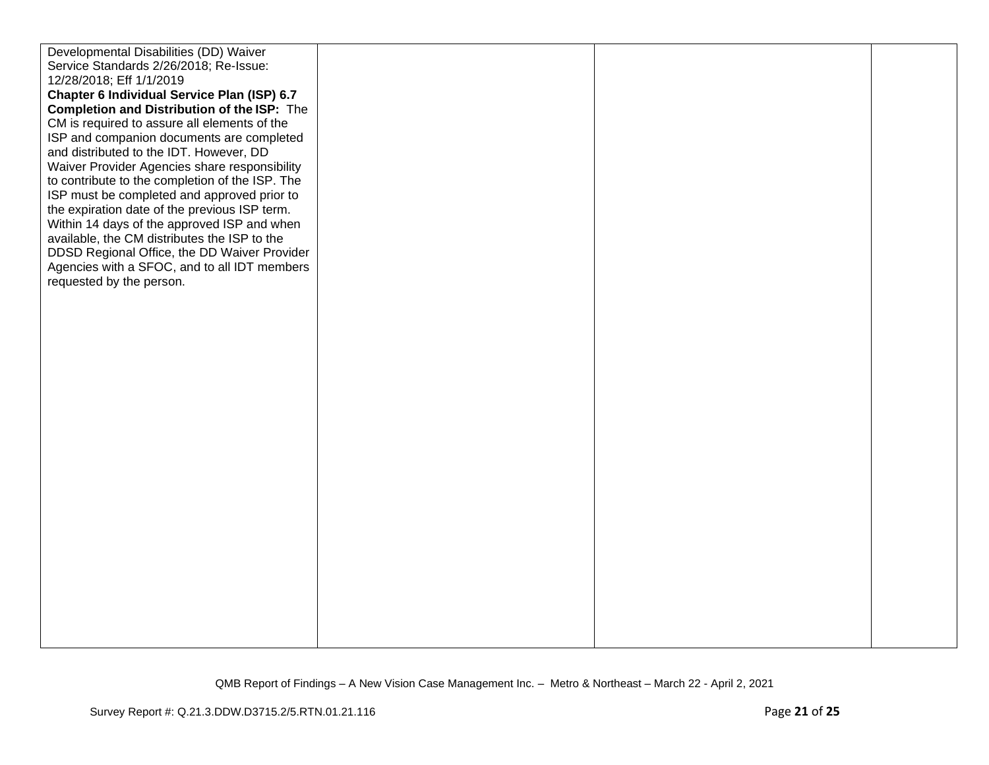| Developmental Disabilities (DD) Waiver          |  |  |
|-------------------------------------------------|--|--|
| Service Standards 2/26/2018; Re-Issue:          |  |  |
| 12/28/2018; Eff 1/1/2019                        |  |  |
| Chapter 6 Individual Service Plan (ISP) 6.7     |  |  |
| Completion and Distribution of the ISP: The     |  |  |
| CM is required to assure all elements of the    |  |  |
| ISP and companion documents are completed       |  |  |
| and distributed to the IDT. However, DD         |  |  |
| Waiver Provider Agencies share responsibility   |  |  |
| to contribute to the completion of the ISP. The |  |  |
| ISP must be completed and approved prior to     |  |  |
| the expiration date of the previous ISP term.   |  |  |
| Within 14 days of the approved ISP and when     |  |  |
| available, the CM distributes the ISP to the    |  |  |
| DDSD Regional Office, the DD Waiver Provider    |  |  |
| Agencies with a SFOC, and to all IDT members    |  |  |
| requested by the person.                        |  |  |
|                                                 |  |  |
|                                                 |  |  |
|                                                 |  |  |
|                                                 |  |  |
|                                                 |  |  |
|                                                 |  |  |
|                                                 |  |  |
|                                                 |  |  |
|                                                 |  |  |
|                                                 |  |  |
|                                                 |  |  |
|                                                 |  |  |
|                                                 |  |  |
|                                                 |  |  |
|                                                 |  |  |
|                                                 |  |  |
|                                                 |  |  |
|                                                 |  |  |
|                                                 |  |  |
|                                                 |  |  |
|                                                 |  |  |
|                                                 |  |  |
|                                                 |  |  |
|                                                 |  |  |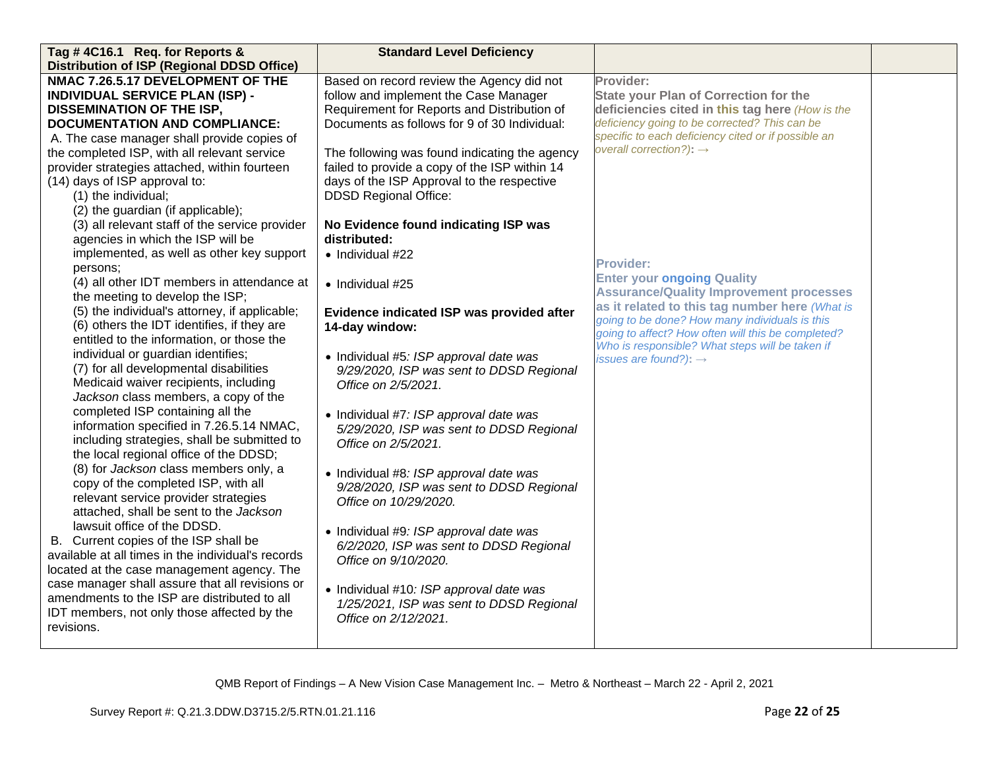| Tag #4C16.1 Req. for Reports &                                                          | <b>Standard Level Deficiency</b>                                                    |                                                     |  |
|-----------------------------------------------------------------------------------------|-------------------------------------------------------------------------------------|-----------------------------------------------------|--|
| <b>Distribution of ISP (Regional DDSD Office)</b>                                       |                                                                                     |                                                     |  |
| NMAC 7.26.5.17 DEVELOPMENT OF THE                                                       | Based on record review the Agency did not                                           | Provider:                                           |  |
| <b>INDIVIDUAL SERVICE PLAN (ISP) -</b>                                                  | follow and implement the Case Manager                                               | <b>State your Plan of Correction for the</b>        |  |
| <b>DISSEMINATION OF THE ISP,</b>                                                        | Requirement for Reports and Distribution of                                         | deficiencies cited in this tag here (How is the     |  |
| <b>DOCUMENTATION AND COMPLIANCE:</b>                                                    | Documents as follows for 9 of 30 Individual:                                        | deficiency going to be corrected? This can be       |  |
| A. The case manager shall provide copies of                                             |                                                                                     | specific to each deficiency cited or if possible an |  |
| the completed ISP, with all relevant service                                            | The following was found indicating the agency                                       | overall correction?): $\rightarrow$                 |  |
| provider strategies attached, within fourteen                                           | failed to provide a copy of the ISP within 14                                       |                                                     |  |
| (14) days of ISP approval to:                                                           | days of the ISP Approval to the respective                                          |                                                     |  |
| (1) the individual;                                                                     | <b>DDSD Regional Office:</b>                                                        |                                                     |  |
| (2) the guardian (if applicable);                                                       |                                                                                     |                                                     |  |
| (3) all relevant staff of the service provider                                          | No Evidence found indicating ISP was                                                |                                                     |  |
| agencies in which the ISP will be                                                       | distributed:                                                                        |                                                     |  |
| implemented, as well as other key support                                               | • Individual #22                                                                    | <b>Provider:</b>                                    |  |
| persons;                                                                                |                                                                                     | <b>Enter your ongoing Quality</b>                   |  |
| (4) all other IDT members in attendance at                                              | $\bullet$ Individual #25                                                            | <b>Assurance/Quality Improvement processes</b>      |  |
| the meeting to develop the ISP;                                                         |                                                                                     | as it related to this tag number here (What is      |  |
| (5) the individual's attorney, if applicable;                                           | Evidence indicated ISP was provided after                                           | going to be done? How many individuals is this      |  |
| (6) others the IDT identifies, if they are                                              | 14-day window:                                                                      | going to affect? How often will this be completed?  |  |
| entitled to the information, or those the                                               |                                                                                     | Who is responsible? What steps will be taken if     |  |
| individual or guardian identifies;                                                      | • Individual #5: ISP approval date was                                              | issues are found?): $\rightarrow$                   |  |
| (7) for all developmental disabilities                                                  | 9/29/2020, ISP was sent to DDSD Regional                                            |                                                     |  |
| Medicaid waiver recipients, including                                                   | Office on 2/5/2021.                                                                 |                                                     |  |
| Jackson class members, a copy of the                                                    |                                                                                     |                                                     |  |
| completed ISP containing all the                                                        | • Individual #7: ISP approval date was                                              |                                                     |  |
| information specified in 7.26.5.14 NMAC,<br>including strategies, shall be submitted to | 5/29/2020, ISP was sent to DDSD Regional                                            |                                                     |  |
| the local regional office of the DDSD;                                                  | Office on 2/5/2021.                                                                 |                                                     |  |
| (8) for Jackson class members only, a                                                   |                                                                                     |                                                     |  |
| copy of the completed ISP, with all                                                     | • Individual #8: ISP approval date was                                              |                                                     |  |
| relevant service provider strategies                                                    | 9/28/2020, ISP was sent to DDSD Regional                                            |                                                     |  |
| attached, shall be sent to the Jackson                                                  | Office on 10/29/2020.                                                               |                                                     |  |
| lawsuit office of the DDSD.                                                             |                                                                                     |                                                     |  |
| B. Current copies of the ISP shall be                                                   | • Individual #9: ISP approval date was                                              |                                                     |  |
| available at all times in the individual's records                                      | 6/2/2020, ISP was sent to DDSD Regional<br>Office on 9/10/2020.                     |                                                     |  |
| located at the case management agency. The                                              |                                                                                     |                                                     |  |
| case manager shall assure that all revisions or                                         |                                                                                     |                                                     |  |
| amendments to the ISP are distributed to all                                            | • Individual #10: ISP approval date was<br>1/25/2021, ISP was sent to DDSD Regional |                                                     |  |
| IDT members, not only those affected by the                                             | Office on 2/12/2021.                                                                |                                                     |  |
| revisions.                                                                              |                                                                                     |                                                     |  |
|                                                                                         |                                                                                     |                                                     |  |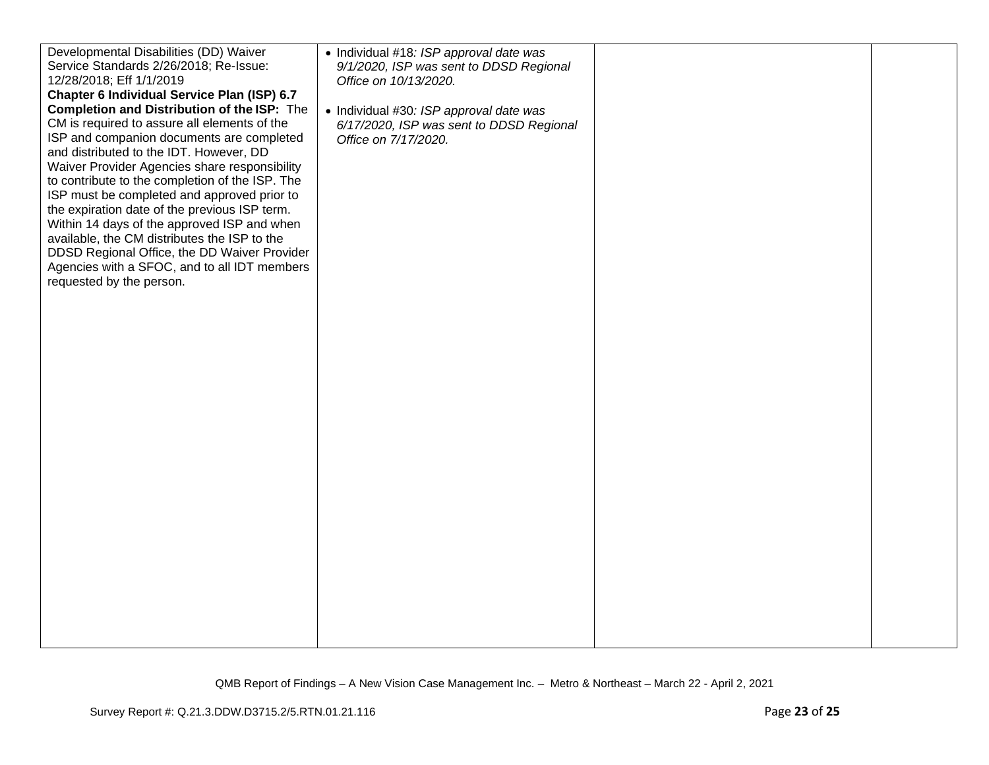| Developmental Disabilities (DD) Waiver             | • Individual #18: ISP approval date was  |  |
|----------------------------------------------------|------------------------------------------|--|
| Service Standards 2/26/2018; Re-Issue:             | 9/1/2020, ISP was sent to DDSD Regional  |  |
| 12/28/2018; Eff 1/1/2019                           | Office on 10/13/2020.                    |  |
| Chapter 6 Individual Service Plan (ISP) 6.7        |                                          |  |
| <b>Completion and Distribution of the ISP:</b> The | • Individual #30: ISP approval date was  |  |
| CM is required to assure all elements of the       | 6/17/2020, ISP was sent to DDSD Regional |  |
| ISP and companion documents are completed          | Office on 7/17/2020.                     |  |
| and distributed to the IDT. However, DD            |                                          |  |
| Waiver Provider Agencies share responsibility      |                                          |  |
| to contribute to the completion of the ISP. The    |                                          |  |
| ISP must be completed and approved prior to        |                                          |  |
| the expiration date of the previous ISP term.      |                                          |  |
| Within 14 days of the approved ISP and when        |                                          |  |
| available, the CM distributes the ISP to the       |                                          |  |
| DDSD Regional Office, the DD Waiver Provider       |                                          |  |
| Agencies with a SFOC, and to all IDT members       |                                          |  |
| requested by the person.                           |                                          |  |
|                                                    |                                          |  |
|                                                    |                                          |  |
|                                                    |                                          |  |
|                                                    |                                          |  |
|                                                    |                                          |  |
|                                                    |                                          |  |
|                                                    |                                          |  |
|                                                    |                                          |  |
|                                                    |                                          |  |
|                                                    |                                          |  |
|                                                    |                                          |  |
|                                                    |                                          |  |
|                                                    |                                          |  |
|                                                    |                                          |  |
|                                                    |                                          |  |
|                                                    |                                          |  |
|                                                    |                                          |  |
|                                                    |                                          |  |
|                                                    |                                          |  |
|                                                    |                                          |  |
|                                                    |                                          |  |
|                                                    |                                          |  |
|                                                    |                                          |  |
|                                                    |                                          |  |
|                                                    |                                          |  |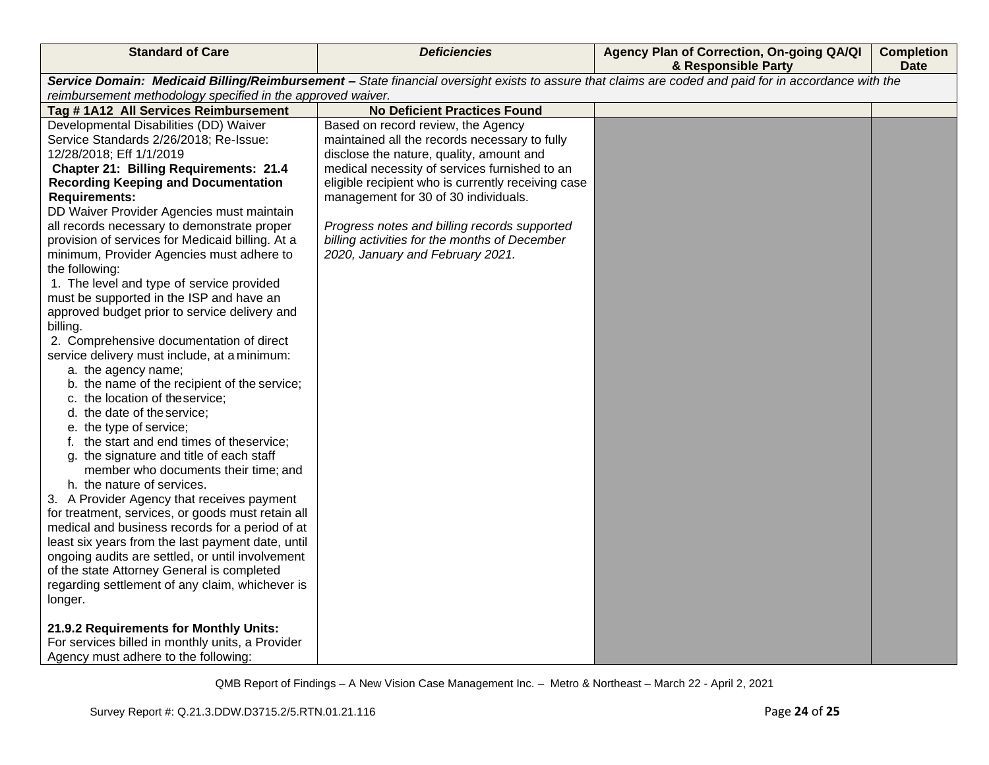| <b>Standard of Care</b>                                                                                                                               | <b>Deficiencies</b>                                | Agency Plan of Correction, On-going QA/QI<br>& Responsible Party | <b>Completion</b><br><b>Date</b> |  |  |
|-------------------------------------------------------------------------------------------------------------------------------------------------------|----------------------------------------------------|------------------------------------------------------------------|----------------------------------|--|--|
| Service Domain: Medicaid Billing/Reimbursement - State financial oversight exists to assure that claims are coded and paid for in accordance with the |                                                    |                                                                  |                                  |  |  |
| reimbursement methodology specified in the approved waiver.                                                                                           |                                                    |                                                                  |                                  |  |  |
| Tag # 1A12 All Services Reimbursement                                                                                                                 | <b>No Deficient Practices Found</b>                |                                                                  |                                  |  |  |
| Developmental Disabilities (DD) Waiver                                                                                                                | Based on record review, the Agency                 |                                                                  |                                  |  |  |
| Service Standards 2/26/2018; Re-Issue:                                                                                                                | maintained all the records necessary to fully      |                                                                  |                                  |  |  |
| 12/28/2018; Eff 1/1/2019                                                                                                                              | disclose the nature, quality, amount and           |                                                                  |                                  |  |  |
| <b>Chapter 21: Billing Requirements: 21.4</b>                                                                                                         | medical necessity of services furnished to an      |                                                                  |                                  |  |  |
| <b>Recording Keeping and Documentation</b>                                                                                                            | eligible recipient who is currently receiving case |                                                                  |                                  |  |  |
| <b>Requirements:</b>                                                                                                                                  | management for 30 of 30 individuals.               |                                                                  |                                  |  |  |
| DD Waiver Provider Agencies must maintain                                                                                                             |                                                    |                                                                  |                                  |  |  |
| all records necessary to demonstrate proper                                                                                                           | Progress notes and billing records supported       |                                                                  |                                  |  |  |
| provision of services for Medicaid billing. At a                                                                                                      | billing activities for the months of December      |                                                                  |                                  |  |  |
| minimum, Provider Agencies must adhere to                                                                                                             | 2020, January and February 2021.                   |                                                                  |                                  |  |  |
| the following:                                                                                                                                        |                                                    |                                                                  |                                  |  |  |
| 1. The level and type of service provided                                                                                                             |                                                    |                                                                  |                                  |  |  |
| must be supported in the ISP and have an                                                                                                              |                                                    |                                                                  |                                  |  |  |
| approved budget prior to service delivery and<br>billing.                                                                                             |                                                    |                                                                  |                                  |  |  |
| 2. Comprehensive documentation of direct                                                                                                              |                                                    |                                                                  |                                  |  |  |
| service delivery must include, at a minimum:                                                                                                          |                                                    |                                                                  |                                  |  |  |
| a. the agency name;                                                                                                                                   |                                                    |                                                                  |                                  |  |  |
| b. the name of the recipient of the service;                                                                                                          |                                                    |                                                                  |                                  |  |  |
| c. the location of theservice;                                                                                                                        |                                                    |                                                                  |                                  |  |  |
| d. the date of the service;                                                                                                                           |                                                    |                                                                  |                                  |  |  |
| e. the type of service;                                                                                                                               |                                                    |                                                                  |                                  |  |  |
| f. the start and end times of theservice;                                                                                                             |                                                    |                                                                  |                                  |  |  |
| g. the signature and title of each staff                                                                                                              |                                                    |                                                                  |                                  |  |  |
| member who documents their time; and                                                                                                                  |                                                    |                                                                  |                                  |  |  |
| h. the nature of services.                                                                                                                            |                                                    |                                                                  |                                  |  |  |
| 3. A Provider Agency that receives payment                                                                                                            |                                                    |                                                                  |                                  |  |  |
| for treatment, services, or goods must retain all                                                                                                     |                                                    |                                                                  |                                  |  |  |
| medical and business records for a period of at                                                                                                       |                                                    |                                                                  |                                  |  |  |
| least six years from the last payment date, until                                                                                                     |                                                    |                                                                  |                                  |  |  |
| ongoing audits are settled, or until involvement                                                                                                      |                                                    |                                                                  |                                  |  |  |
| of the state Attorney General is completed                                                                                                            |                                                    |                                                                  |                                  |  |  |
| regarding settlement of any claim, whichever is                                                                                                       |                                                    |                                                                  |                                  |  |  |
| longer.                                                                                                                                               |                                                    |                                                                  |                                  |  |  |
|                                                                                                                                                       |                                                    |                                                                  |                                  |  |  |
| 21.9.2 Requirements for Monthly Units:                                                                                                                |                                                    |                                                                  |                                  |  |  |
| For services billed in monthly units, a Provider                                                                                                      |                                                    |                                                                  |                                  |  |  |
| Agency must adhere to the following:                                                                                                                  |                                                    |                                                                  |                                  |  |  |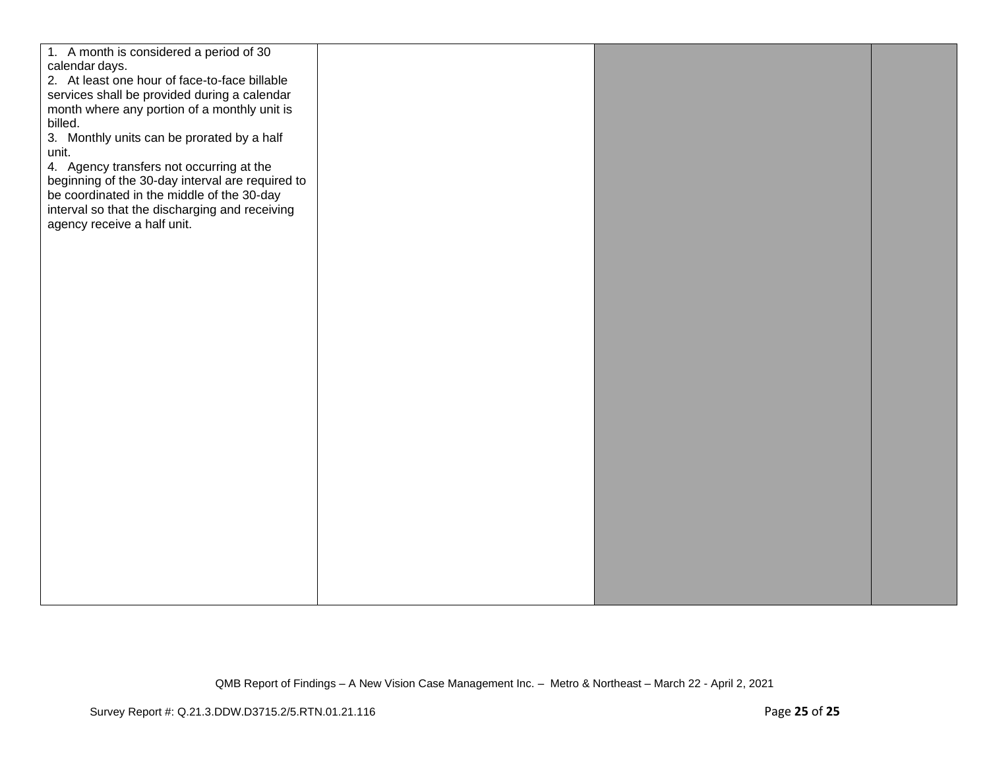| 1. A month is considered a period of 30<br>calendar days.<br>2. At least one hour of face-to-face billable<br>services shall be provided during a calendar<br>month where any portion of a monthly unit is<br>billed.<br>3. Monthly units can be prorated by a half<br>unit.<br>4. Agency transfers not occurring at the<br>beginning of the 30-day interval are required to<br>be coordinated in the middle of the 30-day<br>interval so that the discharging and receiving<br>agency receive a half unit. |  |  |
|-------------------------------------------------------------------------------------------------------------------------------------------------------------------------------------------------------------------------------------------------------------------------------------------------------------------------------------------------------------------------------------------------------------------------------------------------------------------------------------------------------------|--|--|
|                                                                                                                                                                                                                                                                                                                                                                                                                                                                                                             |  |  |
|                                                                                                                                                                                                                                                                                                                                                                                                                                                                                                             |  |  |